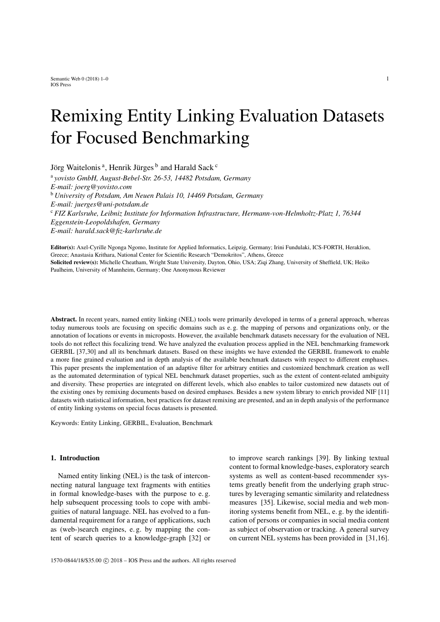# Remixing Entity Linking Evaluation Datasets for Focused Benchmarking

Jörg Waitelonis<sup>a</sup>, Henrik Jürges <sup>b</sup> and Harald Sack <sup>c</sup>

a *yovisto GmbH, August-Bebel-Str. 26-53, 14482 Potsdam, Germany E-mail: joerg@yovisto.com* <sup>b</sup> *University of Potsdam, Am Neuen Palais 10, 14469 Potsdam, Germany E-mail: juerges@uni-potsdam.de* <sup>c</sup> *FIZ Karlsruhe, Leibniz Institute for Information Infrastructure, Hermann-von-Helmholtz-Platz 1, 76344 Eggenstein-Leopoldshafen, Germany E-mail: harald.sack@fiz-karlsruhe.de*

Editor(s): Axel-Cyrille Ngonga Ngomo, Institute for Applied Informatics, Leipzig, Germany; Irini Fundulaki, ICS-FORTH, Heraklion, Greece; Anastasia Krithara, National Center for Scientific Research "Demokritos", Athens, Greece Solicited review(s): Michelle Cheatham, Wright State University, Dayton, Ohio, USA; Ziqi Zhang, University of Sheffield, UK; Heiko Paulheim, University of Mannheim, Germany; One Anonymous Reviewer

Abstract. In recent years, named entity linking (NEL) tools were primarily developed in terms of a general approach, whereas today numerous tools are focusing on specific domains such as e. g. the mapping of persons and organizations only, or the annotation of locations or events in microposts. However, the available benchmark datasets necessary for the evaluation of NEL tools do not reflect this focalizing trend. We have analyzed the evaluation process applied in the NEL benchmarking framework GERBIL [37,30] and all its benchmark datasets. Based on these insights we have extended the GERBIL framework to enable a more fine grained evaluation and in depth analysis of the available benchmark datasets with respect to different emphases. This paper presents the implementation of an adaptive filter for arbitrary entities and customized benchmark creation as well as the automated determination of typical NEL benchmark dataset properties, such as the extent of content-related ambiguity and diversity. These properties are integrated on different levels, which also enables to tailor customized new datasets out of the existing ones by remixing documents based on desired emphases. Besides a new system library to enrich provided NIF [11] datasets with statistical information, best practices for dataset remixing are presented, and an in depth analysis of the performance of entity linking systems on special focus datasets is presented.

Keywords: Entity Linking, GERBIL, Evaluation, Benchmark

#### 1. Introduction

Named entity linking (NEL) is the task of interconnecting natural language text fragments with entities in formal knowledge-bases with the purpose to e. g. help subsequent processing tools to cope with ambiguities of natural language. NEL has evolved to a fundamental requirement for a range of applications, such as (web-)search engines, e. g. by mapping the content of search queries to a knowledge-graph [32] or to improve search rankings [39]. By linking textual content to formal knowledge-bases, exploratory search systems as well as content-based recommender systems greatly benefit from the underlying graph structures by leveraging semantic similarity and relatedness measures [35]. Likewise, social media and web monitoring systems benefit from NEL, e. g. by the identification of persons or companies in social media content as subject of observation or tracking. A general survey on current NEL systems has been provided in [31,16].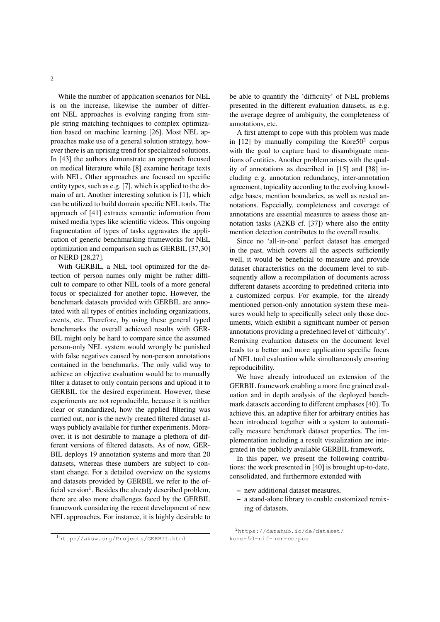While the number of application scenarios for NEL is on the increase, likewise the number of different NEL approaches is evolving ranging from simple string matching techniques to complex optimization based on machine learning [26]. Most NEL approaches make use of a general solution strategy, however there is an uprising trend for specialized solutions. In [43] the authors demonstrate an approach focused on medical literature while [8] examine heritage texts with NEL. Other approaches are focused on specific entity types, such as e.g. [7], which is applied to the domain of art. Another interesting solution is [1], which can be utilized to build domain specific NEL tools. The approach of [41] extracts semantic information from mixed media types like scientific videos. This ongoing fragmentation of types of tasks aggravates the application of generic benchmarking frameworks for NEL optimization and comparison such as GERBIL [37,30] or NERD [28,27].

With GERBIL, a NEL tool optimized for the detection of person names only might be rather difficult to compare to other NEL tools of a more general focus or specialized for another topic. However, the benchmark datasets provided with GERBIL are annotated with all types of entities including organizations, events, etc. Therefore, by using these general typed benchmarks the overall achieved results with GER-BIL might only be hard to compare since the assumed person-only NEL system would wrongly be punished with false negatives caused by non-person annotations contained in the benchmarks. The only valid way to achieve an objective evaluation would be to manually filter a dataset to only contain persons and upload it to GERBIL for the desired experiment. However, these experiments are not reproducible, because it is neither clear or standardized, how the applied filtering was carried out, nor is the newly created filtered dataset always publicly available for further experiments. Moreover, it is not desirable to manage a plethora of different versions of filtered datasets. As of now, GER-BIL deploys 19 annotation systems and more than 20 datasets, whereas these numbers are subject to constant change. For a detailed overview on the systems and datasets provided by GERBIL we refer to the official version<sup>1</sup>. Besides the already described problem, there are also more challenges faced by the GERBIL framework considering the recent development of new NEL approaches. For instance, it is highly desirable to be able to quantify the 'difficulty' of NEL problems presented in the different evaluation datasets, as e.g. the average degree of ambiguity, the completeness of annotations, etc.

A first attempt to cope with this problem was made in [12] by manually compiling the Kore $50<sup>2</sup>$  corpus with the goal to capture hard to disambiguate mentions of entities. Another problem arises with the quality of annotations as described in [15] and [38] including e. g. annotation redundancy, inter-annotation agreement, topicality according to the evolving knowledge bases, mention boundaries, as well as nested annotations. Especially, completeness and coverage of annotations are essential measures to assess those annotation tasks (A2KB cf. [37]) where also the entity mention detection contributes to the overall results.

Since no 'all-in-one' perfect dataset has emerged in the past, which covers all the aspects sufficiently well, it would be beneficial to measure and provide dataset characteristics on the document level to subsequently allow a recompilation of documents across different datasets according to predefined criteria into a customized corpus. For example, for the already mentioned person-only annotation system these measures would help to specifically select only those documents, which exhibit a significant number of person annotations providing a predefined level of 'difficulty'. Remixing evaluation datasets on the document level leads to a better and more application specific focus of NEL tool evaluation while simultaneously ensuring reproducibility.

We have already introduced an extension of the GERBIL framework enabling a more fine grained evaluation and in depth analysis of the deployed benchmark datasets according to different emphases [40]. To achieve this, an adaptive filter for arbitrary entities has been introduced together with a system to automatically measure benchmark dataset properties. The implementation including a result visualization are integrated in the publicly available GERBIL framework.

In this paper, we present the following contributions: the work presented in [40] is brought up-to-date, consolidated, and furthermore extended with

- new additional dataset measures,
- a stand-alone library to enable customized remixing of datasets,

<sup>1</sup>http://aksw.org/Projects/GERBIL.html

<sup>2</sup>https://datahub.io/de/dataset/

kore-50-nif-ner-corpus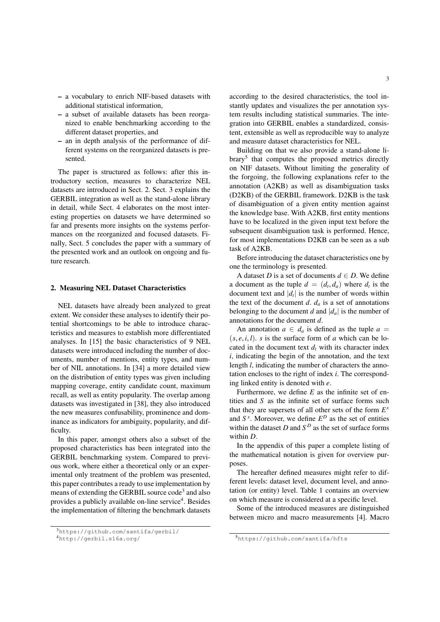- a vocabulary to enrich NIF-based datasets with additional statistical information,
- a subset of available datasets has been reorganized to enable benchmarking according to the different dataset properties, and
- an in depth analysis of the performance of different systems on the reorganized datasets is presented.

The paper is structured as follows: after this introductory section, measures to characterize NEL datasets are introduced in Sect. 2. Sect. 3 explains the GERBIL integration as well as the stand-alone library in detail, while Sect. 4 elaborates on the most interesting properties on datasets we have determined so far and presents more insights on the systems performances on the reorganized and focused datasets. Finally, Sect. 5 concludes the paper with a summary of the presented work and an outlook on ongoing and future research.

#### 2. Measuring NEL Dataset Characteristics

NEL datasets have already been analyzed to great extent. We consider these analyses to identify their potential shortcomings to be able to introduce characteristics and measures to establish more differentiated analyses. In [15] the basic characteristics of 9 NEL datasets were introduced including the number of documents, number of mentions, entity types, and number of NIL annotations. In [34] a more detailed view on the distribution of entity types was given including mapping coverage, entity candidate count, maximum recall, as well as entity popularity. The overlap among datasets was investigated in [38], they also introduced the new measures confusability, prominence and dominance as indicators for ambiguity, popularity, and difficulty.

In this paper, amongst others also a subset of the proposed characteristics has been integrated into the GERBIL benchmarking system. Compared to previous work, where either a theoretical only or an experimental only treatment of the problem was presented, this paper contributes a ready to use implementation by means of extending the GERBIL source code<sup>3</sup> and also provides a publicly available on-line service<sup>4</sup>. Besides the implementation of filtering the benchmark datasets

<sup>3</sup>https://github.com/santifa/gerbil/

according to the desired characteristics, the tool instantly updates and visualizes the per annotation system results including statistical summaries. The integration into GERBIL enables a standardized, consistent, extensible as well as reproducible way to analyze and measure dataset characteristics for NEL.

Building on that we also provide a stand-alone library<sup>5</sup> that computes the proposed metrics directly on NIF datasets. Without limiting the generality of the forgoing, the following explanations refer to the annotation (A2KB) as well as disambiguation tasks (D2KB) of the GERBIL framework. D2KB is the task of disambiguation of a given entity mention against the knowledge base. With A2KB, first entity mentions have to be localized in the given input text before the subsequent disambiguation task is performed. Hence, for most implementations D2KB can be seen as a sub task of A2KB.

Before introducing the dataset characteristics one by one the terminology is presented.

A dataset *D* is a set of documents  $d \in D$ . We define a document as the tuple  $d = (d_t, d_a)$  where  $d_t$  is the document text and  $|d_t|$  is the number of words within document text and  $|d_t|$  is the number of words within the text of the document  $d$ .  $d_a$  is a set of annotations belonging to the document *d* and  $|d_a|$  is the number of annotations for the document *d*.

An annotation  $a \in d_a$  is defined as the tuple  $a =$  $(s, e, i, l)$ . *s* is the surface form of *a* which can be located in the document text  $d_t$  with its character index *i*, indicating the begin of the annotation, and the text length *l*, indicating the number of characters the annotation encloses to the right of index *i*. The corresponding linked entity is denoted with *e*.

Furthermore, we define *E* as the infinite set of entities and *S* as the infinite set of surface forms such that they are supersets of all other sets of the form *E x* and  $S^x$ . Moreover, we define  $E^D$  as the set of entities within the dataset  $D$  and  $S^D$  as the set of surface forms within *D*.

In the appendix of this paper a complete listing of the mathematical notation is given for overview purposes.

The hereafter defined measures might refer to different levels: dataset level, document level, and annotation (or entity) level. Table 1 contains an overview on which measure is considered at a specific level.

Some of the introduced measures are distinguished between micro and macro measurements [4]. Macro

<sup>4</sup>http://gerbil.s16a.org/

<sup>5</sup>https://github.com/santifa/hfts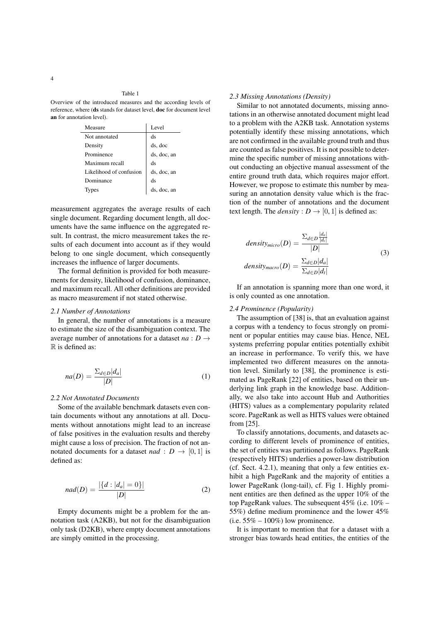## Table 1

Overview of the introduced measures and the according levels of reference, where (ds stands for dataset level, doc for document level an for annotation level).

| Measure                 | Level       |
|-------------------------|-------------|
| Not annotated           | ds          |
| Density                 | ds, doc     |
| Prominence              | ds. doc. an |
| Maximum recall          | ds          |
| Likelihood of confusion | ds, doc, an |
| Dominance               | ds          |
|                         | ds. doc. an |

measurement aggregates the average results of each single document. Regarding document length, all documents have the same influence on the aggregated result. In contrast, the micro measurement takes the results of each document into account as if they would belong to one single document, which consequently increases the influence of larger documents.

The formal definition is provided for both measurements for density, likelihood of confusion, dominance, and maximum recall. All other definitions are provided as macro measurement if not stated otherwise.

## *2.1 Number of Annotations*

In general, the number of annotations is a measure to estimate the size of the disambiguation context. The average number of annotations for a dataset  $na : D \rightarrow$  $\mathbb{R}$  is defined as:

$$
na(D) = \frac{\sum_{d \in D} |d_a|}{|D|} \tag{1}
$$

## *2.2 Not Annotated Documents*

Some of the available benchmark datasets even contain documents without any annotations at all. Documents without annotations might lead to an increase of false positives in the evaluation results and thereby might cause a loss of precision. The fraction of not annotated documents for a dataset *nad* :  $D \rightarrow [0, 1]$  is defined as:

$$
nad(D) = \frac{|\{d : |d_a| = 0\}|}{|D|}
$$
 (2)

Empty documents might be a problem for the annotation task (A2KB), but not for the disambiguation only task (D2KB), where empty document annotations are simply omitted in the processing.

#### *2.3 Missing Annotations (Density)*

Similar to not annotated documents, missing annotations in an otherwise annotated document might lead to a problem with the A2KB task. Annotation systems potentially identify these missing annotations, which are not confirmed in the available ground truth and thus are counted as false positives. It is not possible to determine the specific number of missing annotations without conducting an objective manual assessment of the entire ground truth data, which requires major effort. However, we propose to estimate this number by measuring an annotation density value which is the fraction of the number of annotations and the document text length. The *density* :  $D \rightarrow [0, 1]$  is defined as:

$$
density_{micro}(D) = \frac{\sum_{d \in D} \frac{|d_a|}{|d_t|}}{|D|}
$$
  

$$
density_{macro}(D) = \frac{\sum_{d \in D} |d_a|}{\sum_{d \in D} |d_t|}
$$
 (3)

If an annotation is spanning more than one word, it is only counted as one annotation.

## *2.4 Prominence (Popularity)*

The assumption of [38] is, that an evaluation against a corpus with a tendency to focus strongly on prominent or popular entities may cause bias. Hence, NEL systems preferring popular entities potentially exhibit an increase in performance. To verify this, we have implemented two different measures on the annotation level. Similarly to [38], the prominence is estimated as PageRank [22] of entities, based on their underlying link graph in the knowledge base. Additionally, we also take into account Hub and Authorities (HITS) values as a complementary popularity related score. PageRank as well as HITS values were obtained from [25].

To classify annotations, documents, and datasets according to different levels of prominence of entities, the set of entities was partitioned as follows. PageRank (respectively HITS) underlies a power-law distribution (cf. Sect. 4.2.1), meaning that only a few entities exhibit a high PageRank and the majority of entities a lower PageRank (long-tail), cf. Fig 1. Highly prominent entities are then defined as the upper 10% of the top PageRank values. The subsequent 45% (i.e. 10% – 55%) define medium prominence and the lower 45% (i.e.  $55\% - 100\%$ ) low prominence.

It is important to mention that for a dataset with a stronger bias towards head entities, the entities of the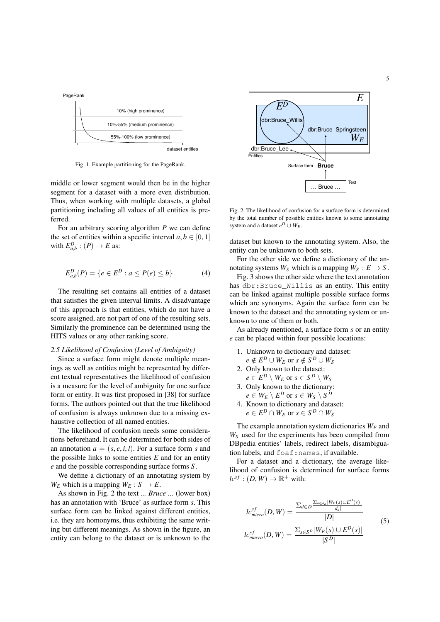

Fig. 1. Example partitioning for the PageRank.

middle or lower segment would then be in the higher segment for a dataset with a more even distribution. Thus, when working with multiple datasets, a global partitioning including all values of all entities is preferred.

For an arbitrary scoring algorithm *P* we can define the set of entities within a specific interval  $a, b \in [0, 1]$ with  $E_{a,b}^D$  :  $(P) \rightarrow E$  as:

$$
E_{a,b}^D(P) = \{e \in E^D : a \le P(e) \le b\}
$$
 (4)

The resulting set contains all entities of a dataset that satisfies the given interval limits. A disadvantage of this approach is that entities, which do not have a score assigned, are not part of one of the resulting sets. Similarly the prominence can be determined using the HITS values or any other ranking score.

#### *2.5 Likelihood of Confusion (Level of Ambiguity)*

Since a surface form might denote multiple meanings as well as entities might be represented by different textual representatives the likelihood of confusion is a measure for the level of ambiguity for one surface form or entity. It was first proposed in [38] for surface forms. The authors pointed out that the true likelihood of confusion is always unknown due to a missing exhaustive collection of all named entities.

The likelihood of confusion needs some considerations beforehand. It can be determined for both sides of an annotation  $a = (s, e, i, l)$ . For a surface form *s* and the possible links to some entities *E* and for an entity *e* and the possible corresponding surface forms *S* .

We define a dictionary of an annotating system by *W<sub>E</sub>* which is a mapping  $W_F : S \to E$ .

As shown in Fig. 2 the text *... Bruce ...* (lower box) has an annotation with 'Bruce' as surface form *s*. This surface form can be linked against different entities, i.e. they are homonyms, thus exhibiting the same writing but different meanings. As shown in the figure, an entity can belong to the dataset or is unknown to the



Fig. 2. The likelihood of confusion for a surface form is determined by the total number of possible entities known to some annotating system and a dataset  $e^D \cup W_E$ .

dataset but known to the annotating system. Also, the entity can be unknown to both sets.

For the other side we define a dictionary of the annotating systems  $W_S$  which is a mapping  $W_S : E \to S$ .

Fig. 3 shows the other side where the text annotation has dbr:Bruce\_Willis as an entity. This entity can be linked against multiple possible surface forms which are synonyms. Again the surface form can be known to the dataset and the annotating system or unknown to one of them or both.

As already mentioned, a surface form *s* or an entity *e* can be placed within four possible locations:

- 1. Unknown to dictionary and dataset:
- $e \notin E^D \cup W_E$  or  $s \notin S^D \cup W_S$ <br>Only known to the dataset: 2. Only known to the dataset:
- $e \in E^D \setminus W_E \text{ or } s \in S^D \setminus W_S$
- 3. Only known to the dictionary:  $e \in W_E \setminus E^D \text{ or } s \in W_S \setminus S^D$
- 4. Known to dictionary and dataset:  $e \in E^D \cap W_E$  or  $s \in S^D \cap W_S$

The example annotation system dictionaries  $W_E$  and *W<sup>S</sup>* used for the experiments has been compiled from DBpedia entities' labels, redirect labels, disambiguation labels, and foaf:names, if available.

For a dataset and a dictionary, the average likelihood of confusion is determined for surface forms  $lc^{sf} : (D, W) \to \mathbb{R}^+$  with:

$$
lc_{micro}^{sf}(D, W) = \frac{\sum_{d \in D} \frac{\sum_{a \in d_a} |W_E(s) \cup E^D(s)|}{|d_a|}}{|D|}
$$
  

$$
lc_{macro}^{sf}(D, W) = \frac{\sum_{s \in S^D} |W_E(s) \cup E^D(s)|}{|S^D|}
$$
 (5)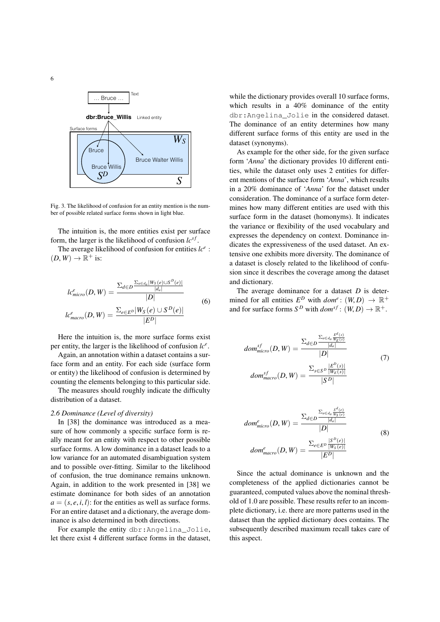

Fig. 3. The likelihood of confusion for an entity mention is the number of possible related surface forms shown in light blue.

The intuition is, the more entities exist per surface form, the larger is the likelihood of confusion  $lc^{sf}$ .

The average likelihood of confusion for entities *lc<sup>e</sup>* :  $(D, W) \rightarrow \mathbb{R}^+$  is:

$$
lc_{micro}^{e}(D, W) = \frac{\sum_{d \in D} \frac{\sum_{a \in d_{d}} |W_{S}(e) \cup S^{D}(e)|}{|d_{a}|}}{|D|}
$$
  

$$
lc_{macro}^{e}(D, W) = \frac{\sum_{e \in E^{D}} |W_{S}(e) \cup S^{D}(e)|}{|E^{D}|}
$$
 (6)

Here the intuition is, the more surface forms exist per entity, the larger is the likelihood of confusion *lc<sup>e</sup>* .

Again, an annotation within a dataset contains a surface form and an entity. For each side (surface form or entity) the likelihood of confusion is determined by counting the elements belonging to this particular side.

The measures should roughly indicate the difficulty distribution of a dataset.

## *2.6 Dominance (Level of diversity)*

In [38] the dominance was introduced as a measure of how commonly a specific surface form is really meant for an entity with respect to other possible surface forms. A low dominance in a dataset leads to a low variance for an automated disambiguation system and to possible over-fitting. Similar to the likelihood of confusion, the true dominance remains unknown. Again, in addition to the work presented in [38] we estimate dominance for both sides of an annotation  $a = (s, e, i, l)$ : for the entities as well as surface forms. For an entire dataset and a dictionary, the average dominance is also determined in both directions.

For example the entity dbr:Angelina\_Jolie, let there exist 4 different surface forms in the dataset, while the dictionary provides overall 10 surface forms, which results in a 40% dominance of the entity dbr:Angelina\_Jolie in the considered dataset. The dominance of an entity determines how many different surface forms of this entity are used in the dataset (synonyms).

As example for the other side, for the given surface form '*Anna*' the dictionary provides 10 different entities, while the dataset only uses 2 entities for different mentions of the surface form '*Anna*', which results in a 20% dominance of '*Anna*' for the dataset under consideration. The dominance of a surface form determines how many different entities are used with this surface form in the dataset (homonyms). It indicates the variance or flexibility of the used vocabulary and expresses the dependency on context. Dominance indicates the expressiveness of the used dataset. An extensive one exhibits more diversity. The dominance of a dataset is closely related to the likelihood of confusion since it describes the coverage among the dataset and dictionary.

The average dominance for a dataset *D* is determined for all entities  $E^D$  with  $dom^e: (W, D) \to \mathbb{R}^+$ <br>and for surface forms  $S^D$  with  $dom^s f: (W, D) \to \mathbb{R}^+$ and for surface forms  $S^D$  with  $dom^{sf} : (W, D) \to \mathbb{R}^+$ .

$$
dom_{micro}^{sf}(D, W) = \frac{\sum_{d \in D} \frac{\sum_{a \in d_a} \frac{E^d(s)}{W_E(s)}}{|d_a|}}{|D|}
$$
  

$$
dom_{macro}^{sf}(D, W) = \frac{\sum_{s \in S^D} \frac{|E^D(s)|}{|W_E(s)|}}{|S^D|}
$$
 (7)

$$
dom_{micro}^{e}(D, W) = \frac{\sum_{d \in D} \frac{\sum_{a \in d_a} \frac{\delta^{d}(e)}{W_S(e)}}{|d_a|}}{|D|}
$$
  

$$
dom_{macro}^{e}(D, W) = \frac{\sum_{e \in E^D} \frac{|S^D(e)|}{|W_S(e)|}}{|E^D|}
$$
 (8)

Since the actual dominance is unknown and the completeness of the applied dictionaries cannot be guaranteed, computed values above the nominal threshold of 1.0 are possible. These results refer to an incomplete dictionary, i.e. there are more patterns used in the dataset than the applied dictionary does contains. The subsequently described maximum recall takes care of this aspect.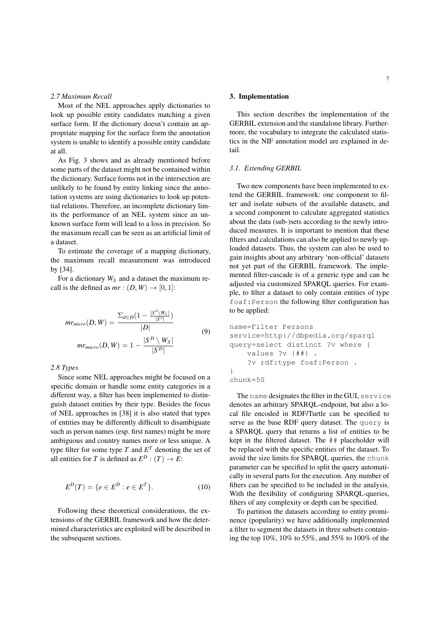#### *2.7 Maximum Recall*

Most of the NEL approaches apply dictionaries to look up possible entity candidates matching a given surface form. If the dictionary doesn't contain an appropriate mapping for the surface form the annotation system is unable to identify a possible entity candidate at all.

As Fig. 3 shows and as already mentioned before some parts of the dataset might not be contained within the dictionary. Surface forms not in the intersection are unlikely to be found by entity linking since the annotation systems are using dictionaries to look up potential relations. Therefore, an incomplete dictionary limits the performance of an NEL system since an unknown surface form will lead to a loss in precision. So the maximum recall can be seen as an artificial limit of a dataset.

To estimate the coverage of a mapping dictionary, the maximum recall measurement was introduced by [34].

For a dictionary *W<sup>S</sup>* and a dataset the maximum recall is the defined as  $mr : (D, W) \rightarrow [0, 1]$ :

$$
mr_{micro}(D, W) = \frac{\sum_{d \in D} \left(1 - \frac{|S^d \setminus W_S|}{|S^d|}\right)}{|D|}
$$
  

$$
mr_{macro}(D, W) = 1 - \frac{|S^D \setminus W_S|}{|S^D|}
$$
 (9)

*2.8 Types*

Since some NEL approaches might be focused on a specific domain or handle some entity categories in a different way, a filter has been implemented to distinguish dataset entities by their type. Besides the focus of NEL approaches in [38] it is also stated that types of entities may be differently difficult to disambiguate such as person names (esp. first names) might be more ambiguous and country names more or less unique. A type filter for some type  $T$  and  $E^T$  denoting the set of all entities for *T* is defined as  $E^D$  :  $(T) \rightarrow E$ :

$$
E^{D}(T) = \{ e \in E^{D} : e \in E^{T} \}. \tag{10}
$$

Following these theoretical considerations, the extensions of the GERBIL framework and how the determined characteristics are exploited will be described in the subsequent sections.

## 3. Implementation

This section describes the implementation of the GERBIL extension and the standalone library. Furthermore, the vocabulary to integrate the calculated statistics in the NIF annotation model are explained in detail.

## *3.1. Extending GERBIL*

Two new components have been implemented to extend the GERBIL framework: one component to filter and isolate subsets of the available datasets, and a second component to calculate aggregated statistics about the data (sub-)sets according to the newly introduced measures. It is important to mention that these filters and calculations can also be applied to newly uploaded datasets. Thus, the system can also be used to gain insights about any arbitrary 'non-official' datasets not yet part of the GERBIL framework. The implemented filter-cascade is of a generic type and can be adjusted via customized SPARQL queries. For example, to filter a dataset to only contain entities of type foaf:Person the following filter configuration has to be applied:

```
name=Filter Persons
service=http://dbpedia.org/sparql
query=select distinct ?v where {
    values ?v {##} .
    ?v rdf:type foaf:Person .
}
chunk=50
```
The name designates the filter in the GUI, service denotes an arbitrary SPARQL-endpoint, but also a local file encoded in RDF/Turtle can be specified to serve as the base RDF query dataset. The query is a SPARQL query that returns a list of entities to be kept in the filtered dataset. The ## placeholder will be replaced with the specific entities of the dataset. To avoid the size limits for SPARQL queries, the chunk parameter can be specified to split the query automatically in several parts for the execution. Any number of filters can be specified to be included in the analysis. With the flexibility of configuring SPARQL-queries, filters of any complexity or depth can be specified.

To partition the datasets according to entity prominence (popularity) we have additionally implemented a filter to segment the datasets in three subsets containing the top 10%, 10% to 55%, and 55% to 100% of the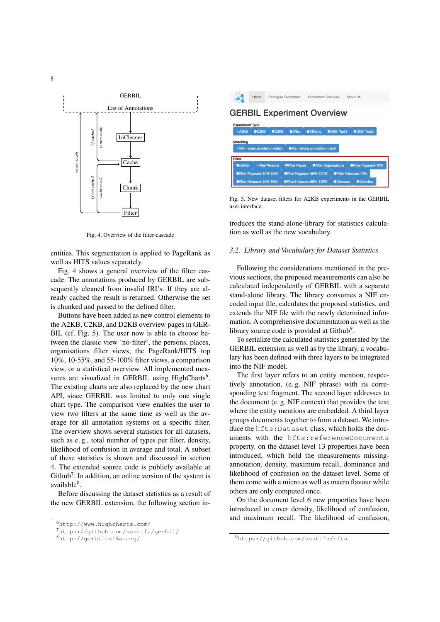

Fig. 4. Overview of the filter-cascade

entities. This segmentation is applied to PageRank as well as HITS values separately.

Fig. 4 shows a general overview of the filter cascade. The annotations produced by GERBIL are subsequently cleaned from invalid IRI's. If they are already cached the result is returned. Otherwise the set is chunked and passed to the defined filter.

Buttons have been added as new control elements to the A2KB, C2KB, and D2KB overview pages in GER-BIL (cf. Fig. 5). The user now is able to choose between the classic view 'no-filter', the persons, places, organisations filter views, the PageRank/HITS top 10%, 10-55%, and 55-100% filter views, a comparison view, or a statistical overview. All implemented measures are visualized in GERBIL using HighCharts<sup>6</sup>. The existing charts are also replaced by the new chart API, since GERBIL was limited to only one single chart type. The comparison view enables the user to view two filters at the same time as well as the average for all annotation systems on a specific filter. The overview shows several statistics for all datasets, such as e. g., total number of types per filter, density, likelihood of confusion in average and total. A subset of these statistics is shown and discussed in section 4. The extended source code is publicly available at Github<sup>7</sup>. In addition, an online version of the system is available<sup>8</sup>.

Before discussing the dataset statistics as a result of the new GERBIL extension, the following section in-

# **GERBIL Experiment Overview**

Configure Experimen

| <b>Experiment Type</b>                                               |                                          |       |                       |                                  |                              |  |                              |  |
|----------------------------------------------------------------------|------------------------------------------|-------|-----------------------|----------------------------------|------------------------------|--|------------------------------|--|
| $\cdot$ A2KB                                                         | $\bigcirc$ C <sub>2</sub> K <sub>R</sub> | OD2KB | <b>OERec</b>          | <b>OETyping</b>                  | <b>OOKE Task1</b>            |  | <b>OOKE Task2</b>            |  |
| <b>Matching</b>                                                      |                                          |       |                       |                                  |                              |  |                              |  |
| • Mw - weak annotation match<br><b>OMa - strong annotation match</b> |                                          |       |                       |                                  |                              |  |                              |  |
|                                                                      |                                          |       |                       |                                  |                              |  |                              |  |
| <b>Filter</b>                                                        |                                          |       |                       |                                  |                              |  |                              |  |
| <b>Onofilter</b>                                                     | • Filter Persons                         |       | <b>OFilter Places</b> |                                  | <b>OFilter Organizations</b> |  | <b>OFilter Pagerank 10%</b>  |  |
|                                                                      | <b>OFilter Pagerank 10%-55%</b>          |       |                       | <b>OFilter Pagerank 55%-100%</b> |                              |  | <b>OFilter Hitsscore 10%</b> |  |

**Experiment Overviey** 

About Us

Fig. 5. New dataset filters for A2KB experiments in the GERBIL user interface.

troduces the stand-alone-library for statistics calculation as well as the new vocabulary.

#### *3.2. Library and Vocabulary for Dataset Statistics*

Following the considerations mentioned in the previous sections, the proposed measurements can also be calculated independently of GERBIL with a separate stand-alone library. The library consumes a NIF encoded input file, calculates the proposed statistics, and extends the NIF file with the newly determined information. A comprehensive documentation as well as the library source code is provided at Github<sup>9</sup>.

To serialize the calculated statistics generated by the GERBIL extension as well as by the library, a vocabulary has been defined with three layers to be integrated into the NIF model.

The first layer refers to an entity mention, respectively annotation, (e. g. NIF phrase) with its corresponding text fragment. The second layer addresses to the document (e. g. NIF context) that provides the text where the entity mentions are embedded. A third layer groups documents together to form a dataset. We introduce the hfts:Dataset class, which holds the documents with the hfts:referenceDocuments property. on the dataset level 13 properties have been introduced, which hold the measurements missingannotation, density, maximum recall, dominance and likelihood of confusion on the dataset level. Some of them come with a micro as well as macro flavour while others are only computed once.

On the document level 6 new properties have been introduced to cover density, likelihood of confusion, and maximum recall. The likelihood of confusion,

<sup>6</sup>http://www.highcharts.com/

<sup>7</sup>https://github.com/santifa/gerbil/

<sup>8</sup>http://gerbil.s16a.org/

<sup>9</sup>https://github.com/santifa/hfts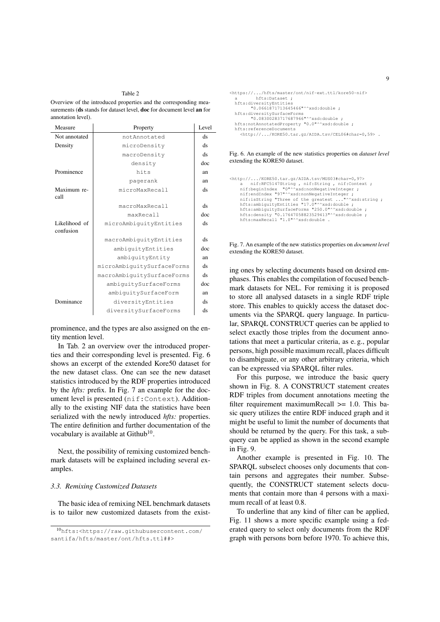## Table 2

Overview of the introduced properties and the corresponding measurements (ds stands for dataset level, doc for document level an for annotation level).

| Measure                    | Property                   | Level |
|----------------------------|----------------------------|-------|
| Not annotated              | notAnnotated               | ds    |
| Density                    | microDensity               | ds    |
|                            | macroDensity               | ds    |
|                            | density                    | doc   |
| Prominence                 | hits                       | an    |
|                            | pagerank                   | an    |
| Maximum re-<br>call        | microMaxRecall             | ds    |
|                            | macroMaxRecall             | ds    |
|                            | maxRecall                  | doc   |
| Likelihood of<br>confusion | microAmbiquityEntities     | ds    |
|                            | macroAmbiquityEntities     | ds    |
|                            | ambiquityEntities          | doc   |
|                            | ambiquityEntity            | an    |
|                            | microAmbiquitySurfaceForms | ds    |
|                            | macroAmbiquitySurfaceForms | ds    |
|                            | ambiquitySurfaceForms      | doc   |
|                            | ambiquitySurfaceForm       | an    |
| Dominance                  | diversityEntities          | ds    |
|                            | diversitySurfaceForms      | ds    |

prominence, and the types are also assigned on the entity mention level.

In Tab. 2 an overview over the introduced properties and their corresponding level is presented. Fig. 6 shows an excerpt of the extended Kore50 dataset for the new dataset class. One can see the new dataset statistics introduced by the RDF properties introduced by the *hfts:* prefix. In Fig. 7 an example for the document level is presented (nif:Context). Additionally to the existing NIF data the statistics have been serialized with the newly introduced *hfts:* properties. The entire definition and further documentation of the vocabulary is available at Github<sup>10</sup>.

Next, the possibility of remixing customized benchmark datasets will be explained including several examples.

#### *3.3. Remixing Customized Datasets*

The basic idea of remixing NEL benchmark datasets is to tailor new customized datasets from the exist<https://.../hfts/master/ont/nif-ext.ttl/kore50-nif> hfts:Dataset : hfts:diversityEntities "0.0661871713645466"^^xsd:double ; hfts:diversitySurfaceForms "0.08300283717687966"^^xsd:double ; hfts:notAnnotatedProperty "0.0"^^xsd:double ; hfts:referenceDocuments <http://.../KORE50.tar.gz/AIDA.tsv/CEL06#char=0,59> .

Fig. 6. An example of the new statistics properties on *dataset level* extending the KORE50 dataset.

```
<http://.../KORE50.tar.gz/AIDA.tsv/MUS03#char=0,97>
          a nif:RFC5147String, nif:String, nif:Context ;<br>nif:beginIndex "0"^^xsd:nonNegativeInteger ;<br>nif:endIndex "97"^^xsd:nonNegativeInteger ;<br>nif:isString "Three of the greatest ..."^^xsd:string ;
          hfts:ambiguityEntities "17.0"^^xsd:double ;<br>hfts:ambiguitySurfaceForms "250.0"^^xsd:double ;<br>hfts:density "0.17647058823529413"^^xsd:double ;
         hfts:maxRecall "1.0"^^xsd:double .
```
Fig. 7. An example of the new statistics properties on *document level* extending the KORE50 dataset.

ing ones by selecting documents based on desired emphases. This enables the compilation of focused benchmark datasets for NEL. For remixing it is proposed to store all analysed datasets in a single RDF triple store. This enables to quickly access the dataset documents via the SPARQL query language. In particular, SPARQL CONSTRUCT queries can be applied to select exactly those triples from the document annotations that meet a particular criteria, as e. g., popular persons, high possible maximum recall, places difficult to disambiguate, or any other arbitrary criteria, which can be expressed via SPARQL filter rules.

For this purpose, we introduce the basic query shown in Fig. 8. A CONSTRUCT statement creates RDF triples from document annotations meeting the filter requirement maximumRecall  $\ge$  1.0. This basic query utilizes the entire RDF induced graph and it might be useful to limit the number of documents that should be returned by the query. For this task, a subquery can be applied as shown in the second example in Fig. 9.

Another example is presented in Fig. 10. The SPARQL subselect chooses only documents that contain persons and aggregates their number. Subsequently, the CONSTRUCT statement selects documents that contain more than 4 persons with a maximum recall of at least 0.8.

To underline that any kind of filter can be applied, Fig. 11 shows a more specific example using a federated query to select only documents from the RDF graph with persons born before 1970. To achieve this,

<sup>10</sup>hfts:<https://raw.githubusercontent.com/ santifa/hfts/master/ont/hfts.ttl##>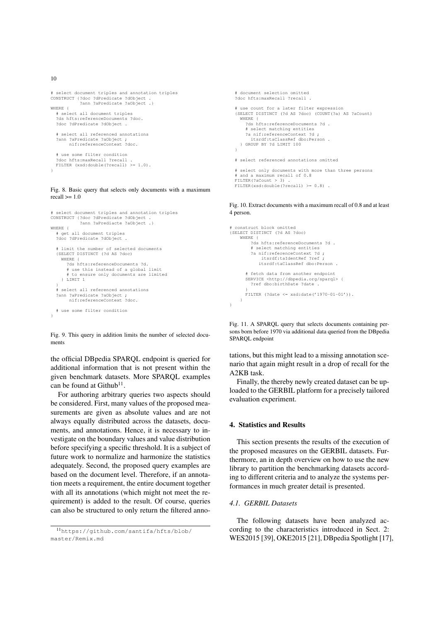```
# select document triples and annotation triples
CONSTRUCT {?doc ?dPredicate ?dObject .
           ?ann ?aPredicate ?aObject .}
WHERE \ell# select all document triples
  ?ds hfts:referenceDocuments ?doc.
  ?doc ?dPredicate ?dObject .
  # select all referenced annotations
  ?ann ?aPredicate ?aObject ;
       nif:referenceContext ?doc.
  # use some filter condition
  ?doc hfts:maxRecall ?recall .
  FILTER (xsd:double(?recall) >= 1.0).
}
```
Fig. 8. Basic query that selects only documents with a maximum recall  $>= 1.0$ 

```
# select document triples and annotation triples
CONSTRUCT {?doc ?dPredicate ?dObject .
            ?ann ?aPrediacte ?aObject .}
WHERE {
  # get all document triples
  ?doc ?dPredicate ?dObject .
    limit the number of selected documents
  {SELECT DISTINCT (?d AS ?doc)
    WHERE {
      ?ds hfts:referenceDocuments ?d.
        use this instead of a global limit
        to ensure only documents are limited
    } LIMIT 1
  }
# select all referenced annotations
  ?ann ?aPredicate ?aObject ;
       nif:referenceContext ?doc.
  # use some filter condition
}
```
Fig. 9. This query in addition limits the number of selected documents

the official DBpedia SPARQL endpoint is queried for additional information that is not present within the given benchmark datasets. More SPARQL examples can be found at Github<sup>11</sup>.

For authoring arbitrary queries two aspects should be considered. First, many values of the proposed measurements are given as absolute values and are not always equally distributed across the datasets, documents, and annotations. Hence, it is necessary to investigate on the boundary values and value distribution before specifying a specific threshold. It is a subject of future work to normalize and harmonize the statistics adequately. Second, the proposed query examples are based on the document level. Therefore, if an annotation meets a requirement, the entire document together with all its annotations (which might not meet the requirement) is added to the result. Of course, queries can also be structured to only return the filtered anno-

<sup>11</sup>https://github.com/santifa/hfts/blob/ master/Remix.md

```
# document selection omitted
?doc hfts:maxRecall ?recall .
# use count for a later filter expression
{SELECT DISTINCT (?d AS ?doc) (COUNT(?a) AS ?aCount)
 WHERE \overline{ }?ds hfts:referenceDocuments ?d .
    # select matching entities
?a nif:referenceContext ?d ;
itsrdf:taClassRef dbo:Person .
 } GROUP BY ?d LIMIT 100
}
# select referenced annotations omitted
# select only documents with more than three persons
 and a maximum recall of 0.8
FILTER(?aCount > 3).
FILTER(xsd:double(?recall) >= 0.8) .
```
Fig. 10. Extract documents with a maximum recall of 0.8 and at least 4 person.

```
# construct block omitted
{SELECT DISTINCT (?d AS ?doc)
    WHERE {
?ds hfts:referenceDocuments ?d .
         # select matching entities
         ?a nif:referenceContext ?d ;
             itsrdf:taIdentRef ?ref ;
            itsrdf:taClassRef dbo:Person .
      # fetch data from another endpoint
       SERVICE <http://dbpedia.org/sparql> {
?ref dbo:birthDate ?date .
       }
FILTER (?date <= xsd:date('1970-01-01')).
    }
}
```
Fig. 11. A SPARQL query that selects documents containing persons born before 1970 via additional data queried from the DBpedia SPARQL endpoint

tations, but this might lead to a missing annotation scenario that again might result in a drop of recall for the A2KB task.

Finally, the thereby newly created dataset can be uploaded to the GERBIL platform for a precisely tailored evaluation experiment.

#### 4. Statistics and Results

This section presents the results of the execution of the proposed measures on the GERBIL datasets. Furthermore, an in depth overview on how to use the new library to partition the benchmarking datasets according to different criteria and to analyze the systems performances in much greater detail is presented.

#### *4.1. GERBIL Datasets*

The following datasets have been analyzed according to the characteristics introduced in Sect. 2: WES2015 [39], OKE2015 [21], DBpedia Spotlight [17],

10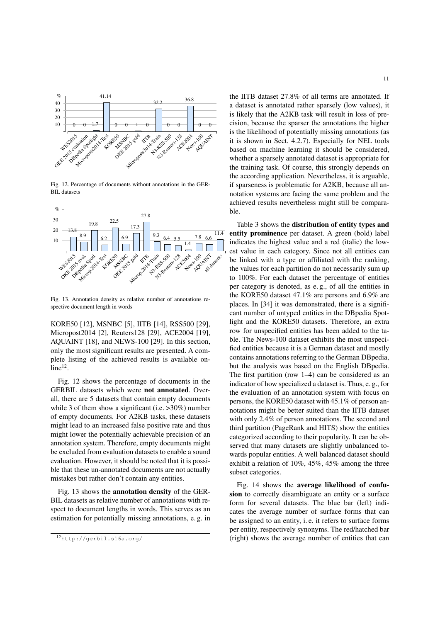

Fig. 12. Percentage of documents without annotations in the GER-BIL datasets



Fig. 13. Annotation density as relative number of annotations respective document length in words

KORE50 [12], MSNBC [5], IITB [14], RSS500 [29], Micropost2014 [2], Reuters128 [29], ACE2004 [19], AQUAINT [18], and NEWS-100 [29]. In this section, only the most significant results are presented. A complete listing of the achieved results is available on $line<sup>12</sup>$ .

Fig. 12 shows the percentage of documents in the GERBIL datasets which were not annotated. Overall, there are 5 datasets that contain empty documents while 3 of them show a significant (i.e.  $>30\%$ ) number of empty documents. For A2KB tasks, these datasets might lead to an increased false positive rate and thus might lower the potentially achievable precision of an annotation system. Therefore, empty documents might be excluded from evaluation datasets to enable a sound evaluation. However, it should be noted that it is possible that these un-annotated documents are not actually mistakes but rather don't contain any entities.

Fig. 13 shows the annotation density of the GER-BIL datasets as relative number of annotations with respect to document lengths in words. This serves as an estimation for potentially missing annotations, e. g. in the IITB dataset 27.8% of all terms are annotated. If a dataset is annotated rather sparsely (low values), it is likely that the A2KB task will result in loss of precision, because the sparser the annotations the higher is the likelihood of potentially missing annotations (as it is shown in Sect. 4.2.7). Especially for NEL tools based on machine learning it should be considered, whether a sparsely annotated dataset is appropriate for the training task. Of course, this strongly depends on the according application. Nevertheless, it is arguable, if sparseness is problematic for A2KB, because all annotation systems are facing the same problem and the achieved results nevertheless might still be comparable.

Table 3 shows the distribution of entity types and entity prominence per dataset. A green (bold) label indicates the highest value and a red (italic) the lowest value in each category. Since not all entities can be linked with a type or affiliated with the ranking, the values for each partition do not necessarily sum up to 100%. For each dataset the percentage of entities per category is denoted, as e. g., of all the entities in the KORE50 dataset 47.1% are persons and 6.9% are places. In [34] it was demonstrated, there is a significant number of untyped entities in the DBpedia Spotlight and the KORE50 datasets. Therefore, an extra row for unspecified entities has been added to the table. The News-100 dataset exhibits the most unspecified entities because it is a German dataset and mostly contains annotations referring to the German DBpedia, but the analysis was based on the English DBpedia. The first partition (row 1–4) can be considered as an indicator of how specialized a dataset is. Thus, e. g., for the evaluation of an annotation system with focus on persons, the KORE50 dataset with 45.1% of person annotations might be better suited than the IITB dataset with only 2.4% of person annotations. The second and third partition (PageRank and HITS) show the entities categorized according to their popularity. It can be observed that many datasets are slightly unbalanced towards popular entities. A well balanced dataset should exhibit a relation of 10%, 45%, 45% among the three subset categories.

Fig. 14 shows the average likelihood of confusion to correctly disambiguate an entity or a surface form for several datasets. The blue bar (left) indicates the average number of surface forms that can be assigned to an entity, i. e. it refers to surface forms per entity, respectively synonyms. The red/hatched bar (right) shows the average number of entities that can

<sup>12</sup>http://gerbil.s16a.org/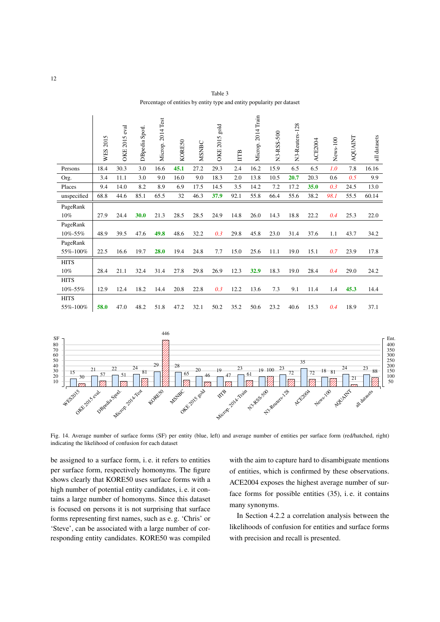|             | 2015<br><b>WES</b> | $2015$ eval<br>OKE: | DBpedia Spotl. | Microp. 2014 Test | KORE50 | <b>MSNBC</b> | gold<br><b>OKE 2015</b> | Ë    | 2014 Train<br>Microp. | N3-RSS-500 | N <sub>3</sub> -Reuters-128 | ACE2004 | News-100 | AQUAINT | all datasets |
|-------------|--------------------|---------------------|----------------|-------------------|--------|--------------|-------------------------|------|-----------------------|------------|-----------------------------|---------|----------|---------|--------------|
| Persons     | 18.4               | 30.3                | 3.0            | 16.6              | 45.1   | 27.2         | 29.3                    | 2.4  | 16.2                  | 15.9       | 6.5                         | 6.5     | 1.0      | 7.8     | 16.16        |
| Org.        | 3.4                | 11.1                | 3.0            | 9.0               | 16.0   | 9.0          | 18.3                    | 2.0  | 13.8                  | 10.5       | 20.7                        | 20.3    | 0.6      | 0.5     | 9.9          |
| Places      | 9.4                | 14.0                | 8.2            | 8.9               | 6.9    | 17.5         | 14.5                    | 3.5  | 14.2                  | 7.2        | 17.2                        | 35.0    | 0.3      | 24.5    | 13.0         |
| unspecified | 68.8               | 44.6                | 85.1           | 65.5              | 32     | 46.3         | 37.9                    | 92.1 | 55.8                  | 66.4       | 55.6                        | 38.2    | 98.1     | 55.5    | 60.14        |
| PageRank    |                    |                     |                |                   |        |              |                         |      |                       |            |                             |         |          |         |              |
| 10%         | 27.9               | 24.4                | 30.0           | 21.3              | 28.5   | 28.5         | 24.9                    | 14.8 | 26.0                  | 14.3       | 18.8                        | 22.2    | 0.4      | 25.3    | 22.0         |
| PageRank    |                    |                     |                |                   |        |              |                         |      |                       |            |                             |         |          |         |              |
| 10%-55%     | 48.9               | 39.5                | 47.6           | 49.8              | 48.6   | 32.2         | 0.3                     | 29.8 | 45.8                  | 23.0       | 31.4                        | 37.6    | 1.1      | 43.7    | 34.2         |
| PageRank    |                    |                     |                |                   |        |              |                         |      |                       |            |                             |         |          |         |              |
| 55%-100%    | 22.5               | 16.6                | 19.7           | 28.0              | 19.4   | 24.8         | 7.7                     | 15.0 | 25.6                  | 11.1       | 19.0                        | 15.1    | 0.7      | 23.9    | 17.8         |
| <b>HITS</b> |                    |                     |                |                   |        |              |                         |      |                       |            |                             |         |          |         |              |
| 10%         | 28.4               | 21.1                | 32.4           | 31.4              | 27.8   | 29.8         | 26.9                    | 12.3 | 32.9                  | 18.3       | 19.0                        | 28.4    | 0.4      | 29.0    | 24.2         |
| <b>HITS</b> |                    |                     |                |                   |        |              |                         |      |                       |            |                             |         |          |         |              |
| 10%-55%     | 12.9               | 12.4                | 18.2           | 14.4              | 20.8   | 22.8         | 0.3                     | 12.2 | 13.6                  | 7.3        | 9.1                         | 11.4    | 1.4      | 45.3    | 14.4         |
| <b>HITS</b> |                    |                     |                |                   |        |              |                         |      |                       |            |                             |         |          |         |              |
| 55%-100%    | 58.0               | 47.0                | 48.2           | 51.8              | 47.2   | 32.1         | 50.2                    | 35.2 | 50.6                  | 23.2       | 40.6                        | 15.3    | 0.4      | 18.9    | 37.1         |

Table 3 Percentage of entities by entity type and entity popularity per dataset



Fig. 14. Average number of surface forms (SF) per entity (blue, left) and average number of entities per surface form (red/hatched, right) indicating the likelihood of confusion for each dataset

be assigned to a surface form, i. e. it refers to entities per surface form, respectively homonyms. The figure shows clearly that KORE50 uses surface forms with a high number of potential entity candidates, i. e. it contains a large number of homonyms. Since this dataset is focused on persons it is not surprising that surface forms representing first names, such as e. g. 'Chris' or 'Steve', can be associated with a large number of corresponding entity candidates. KORE50 was compiled with the aim to capture hard to disambiguate mentions of entities, which is confirmed by these observations. ACE2004 exposes the highest average number of surface forms for possible entities (35), i. e. it contains many synonyms.

In Section 4.2.2 a correlation analysis between the likelihoods of confusion for entities and surface forms with precision and recall is presented.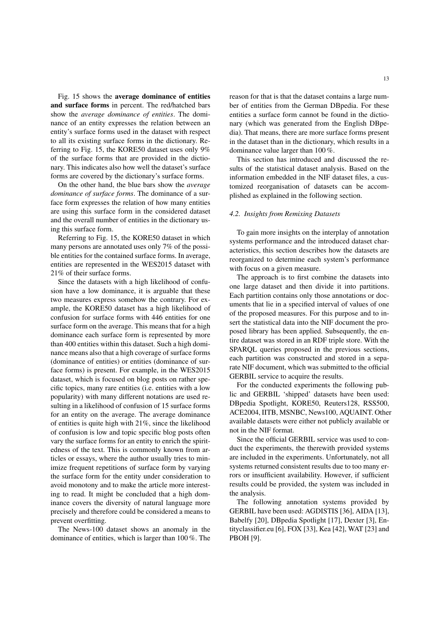Fig. 15 shows the average dominance of entities and surface forms in percent. The red/hatched bars show the *average dominance of entities*. The dominance of an entity expresses the relation between an entity's surface forms used in the dataset with respect to all its existing surface forms in the dictionary. Referring to Fig. 15, the KORE50 dataset uses only 9% of the surface forms that are provided in the dictionary. This indicates also how well the dataset's surface forms are covered by the dictionary's surface forms.

On the other hand, the blue bars show the *average dominance of surface forms*. The dominance of a surface form expresses the relation of how many entities are using this surface form in the considered dataset and the overall number of entities in the dictionary using this surface form.

Referring to Fig. 15, the KORE50 dataset in which many persons are annotated uses only 7% of the possible entities for the contained surface forms. In average, entities are represented in the WES2015 dataset with 21% of their surface forms.

Since the datasets with a high likelihood of confusion have a low dominance, it is arguable that these two measures express somehow the contrary. For example, the KORE50 dataset has a high likelihood of confusion for surface forms with 446 entities for one surface form on the average. This means that for a high dominance each surface form is represented by more than 400 entities within this dataset. Such a high dominance means also that a high coverage of surface forms (dominance of entities) or entities (dominance of surface forms) is present. For example, in the WES2015 dataset, which is focused on blog posts on rather specific topics, many rare entities (i.e. entities with a low popularity) with many different notations are used resulting in a likelihood of confusion of 15 surface forms for an entity on the average. The average dominance of entities is quite high with 21%, since the likelihood of confusion is low and topic specific blog posts often vary the surface forms for an entity to enrich the spiritedness of the text. This is commonly known from articles or essays, where the author usually tries to minimize frequent repetitions of surface form by varying the surface form for the entity under consideration to avoid monotony and to make the article more interesting to read. It might be concluded that a high dominance covers the diversity of natural language more precisely and therefore could be considered a means to prevent overfitting.

The News-100 dataset shows an anomaly in the dominance of entities, which is larger than 100 %. The reason for that is that the dataset contains a large number of entities from the German DBpedia. For these entities a surface form cannot be found in the dictionary (which was generated from the English DBpedia). That means, there are more surface forms present in the dataset than in the dictionary, which results in a dominance value larger than 100 %.

This section has introduced and discussed the results of the statistical dataset analysis. Based on the information embedded in the NIF dataset files, a customized reorganisation of datasets can be accomplished as explained in the following section.

## *4.2. Insights from Remixing Datasets*

To gain more insights on the interplay of annotation systems performance and the introduced dataset characteristics, this section describes how the datasets are reorganized to determine each system's performance with focus on a given measure.

The approach is to first combine the datasets into one large dataset and then divide it into partitions. Each partition contains only those annotations or documents that lie in a specified interval of values of one of the proposed measures. For this purpose and to insert the statistical data into the NIF document the proposed library has been applied. Subsequently, the entire dataset was stored in an RDF triple store. With the SPARQL queries proposed in the previous sections, each partition was constructed and stored in a separate NIF document, which was submitted to the official GERBIL service to acquire the results.

For the conducted experiments the following public and GERBIL 'shipped' datasets have been used: DBpedia Spotlight, KORE50, Reuters128, RSS500, ACE2004, IITB, MSNBC, News100, AQUAINT. Other available datasets were either not publicly available or not in the NIF format.

Since the official GERBIL service was used to conduct the experiments, the therewith provided systems are included in the experiments. Unfortunately, not all systems returned consistent results due to too many errors or insufficient availability. However, if sufficient results could be provided, the system was included in the analysis.

The following annotation systems provided by GERBIL have been used: AGDISTIS [36], AIDA [13], Babelfy [20], DBpedia Spotlight [17], Dexter [3], Entityclassifier.eu [6], FOX [33], Kea [42], WAT [23] and PBOH [9].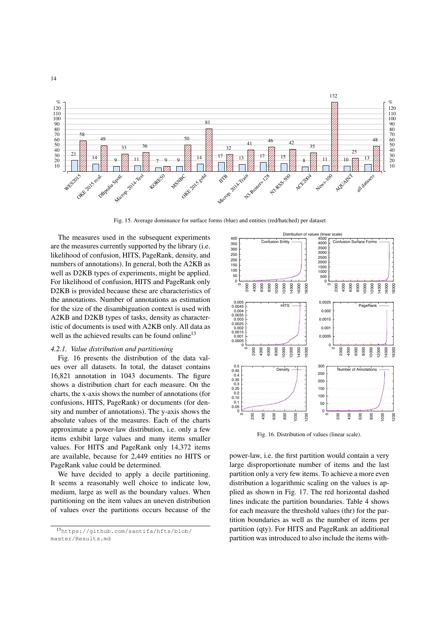

Fig. 15. Average dominance for surface forms (blue) and entities (red/hatched) per dataset

The measures used in the subsequent experiments are the measures currently supported by the library (i.e. likelihood of confusion, HITS, PageRank, density, and numbers of annotations). In general, both the A2KB as well as D2KB types of experiments, might be applied. For likelihood of confusion, HITS and PageRank only D2KB is provided because these are characteristics of the annotations. Number of annotations as estimation for the size of the disambiguation context is used with A2KB and D2KB types of tasks, density as characteristic of documents is used with A2KB only. All data as well as the achieved results can be found online<sup>13</sup>

#### 4.2.1. Value distribution and partitioning

Fig. 16 presents the distribution of the data values over all datasets. In total, the dataset contains 16,821 annotation in 1043 documents. The figure shows a distribution chart for each measure. On the charts, the x-axis shows the number of annotations (for confusions, HITS, PageRank) or documents (for density and number of annotations). The y-axis shows the absolute values of the measures. Each of the charts approximate a power-law distribution, i.e. only a few items exhibit large values and many items smaller values. For HITS and PageRank only 14,372 items are available, because for 2,449 entities no HITS or PageRank value could be determined.

We have decided to apply a decile partitioning. It seems a reasonably well choice to indicate low. medium, large as well as the boundary values. When partitioning on the item values an uneven distribution of values over the partitions occurs because of the

l3https://github.com/santifa/hfts/blob/ master/Results.md



Fig. 16. Distribution of values (linear scale).

power-law, i.e. the first partition would contain a very large disproportionate number of items and the last partition only a very few items. To achieve a more even distribution a logarithmic scaling on the values is applied as shown in Fig. 17. The red horizontal dashed lines indicate the partition boundaries. Table 4 shows for each measure the threshold values (thr) for the partition boundaries as well as the number of items per partition (qty). For HITS and PageRank an additional partition was introduced to also include the items with-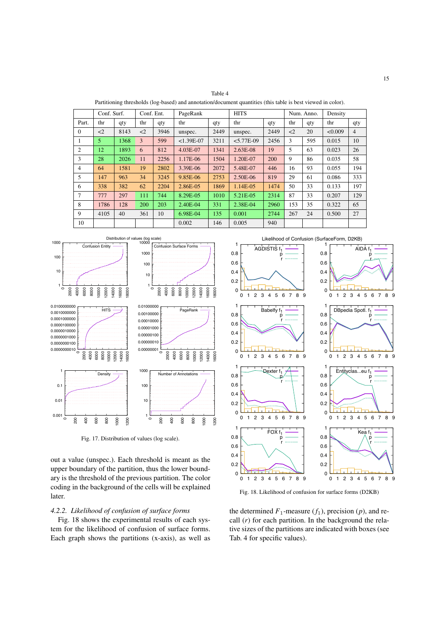Table 4

Partitioning thresholds (log-based) and annotation/document quantities (this table is best viewed in color).

|                | Conf. Surf. |      | Conf. Ent.          |      | PageRank       |      | <b>HITS</b>    |      | Num. Anno.          |     | Density |                |
|----------------|-------------|------|---------------------|------|----------------|------|----------------|------|---------------------|-----|---------|----------------|
| Part.          | thr         | qty  | thr                 | qty  | thr            | qty  | thr            | qty  | thr                 | qty | thr     | qty            |
| $\Omega$       | $\leq$ 2    | 8143 | $\langle 2 \rangle$ | 3946 | unspec.        | 2449 | unspec.        | 2449 | $\langle 2 \rangle$ | 20  | < 0.009 | $\overline{4}$ |
| 1              | 5           | 1368 | 3                   | 599  | $< 1.39E - 07$ | 3211 | $< 5.77E - 09$ | 2456 | 3                   | 595 | 0.015   | 10             |
| $\overline{c}$ | 12          | 1893 | 6                   | 812  | $4.03E-07$     | 1341 | $2.63E-08$     | 19   | 5                   | 63  | 0.023   | 26             |
| 3              | 28          | 2026 | 11                  | 2256 | 1.17E-06       | 1504 | 1.20E-07       | 200  | 9                   | 86  | 0.035   | 58             |
| $\overline{4}$ | 64          | 1581 | 19                  | 2802 | 3.39E-06       | 2072 | 5.48E-07       | 446  | 16                  | 93  | 0.055   | 194            |
| 5              | 147         | 963  | 34                  | 3245 | 9.85E-06       | 2753 | 2.50E-06       | 819  | 29                  | 61  | 0.086   | 333            |
| 6              | 338         | 382  | 62                  | 2204 | 2.86E-05       | 1869 | 1.14E-05       | 1474 | 50                  | 33  | 0.133   | 197            |
| 7              | 777         | 297  | 111                 | 744  | 8.29E-05       | 1010 | 5.21E-05       | 2314 | 87                  | 33  | 0.207   | 129            |
| 8              | 1786        | 128  | 200                 | 203  | 2.40E-04       | 331  | 2.38E-04       | 2960 | 153                 | 35  | 0.322   | 65             |
| 9              | 4105        | 40   | 361                 | 10   | 6.98E-04       | 135  | 0.001          | 2744 | 267                 | 24  | 0.500   | 27             |
| 10             |             |      |                     |      | 0.002          | 146  | 0.005          | 940  |                     |     |         |                |



Fig. 17. Distribution of values (log scale).

out a value (unspec.). Each threshold is meant as the upper boundary of the partition, thus the lower boundary is the threshold of the previous partition. The color coding in the background of the cells will be explained later.

## 4.2.2. Likelihood of confusion of surface forms

Fig. 18 shows the experimental results of each system for the likelihood of confusion of surface forms. Each graph shows the partitions (x-axis), as well as



Fig. 18. Likelihood of confusion for surface forms (D2KB)

the determined  $F_1$ -measure  $(f_1)$ , precision  $(p)$ , and recall  $(r)$  for each partition. In the background the relative sizes of the partitions are indicated with boxes (see Tab. 4 for specific values).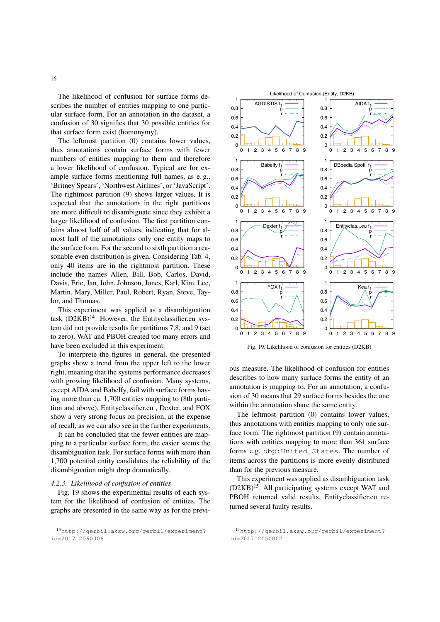The likelihood of confusion for surface forms describes the number of entities mapping to one particular surface form. For an annotation in the dataset, a confusion of 30 signifies that 30 possible entities for that surface form exist (homonymy).

The leftmost partition (0) contains lower values, thus annotations contain surface forms with fewer numbers of entities mapping to them and therefore a lower likelihood of confusion. Typical are for example surface forms mentioning full names, as e.g., 'Britney Spears', 'Northwest Airlines', or 'JavaScript'. The rightmost partition (9) shows larger values. It is expected that the annotations in the right partitions are more difficult to disambiguate since they exhibit a larger likelihood of confusion. The first partition contains almost half of all values, indicating that for almost half of the annotations only one entity maps to the surface form. For the second to sixth partition a reasonable even distribution is given. Considering Tab. 4, only 40 items are in the rightmost partition. These include the names Allen, Bill, Bob, Carlos, David, Davis, Eric, Jan, John, Johnson, Jones, Karl, Kim, Lee, Martin, Mary, Miller, Paul, Robert, Ryan, Steve, Taylor, and Thomas.

This experiment was applied as a disambiguation task (D2KB)<sup>14</sup>. However, the Entityclassifier.eu system did not provide results for partitions 7,8, and 9 (set to zero). WAT and PBOH created too many errors and have been excluded in this experiment.

To interprete the figures in general, the presented graphs show a trend from the upper left to the lower right, meaning that the systems performance decreases with growing likelihood of confusion. Many systems, except AIDA and Babelfy, fail with surface forms having more than ca. 1,700 entities mapping to (8th partition and above). Entityclassifier.eu, Dexter, and FOX show a very strong focus on precision, at the expense of recall, as we can also see in the further experiments.

It can be concluded that the fewer entities are mapping to a particular surface form, the easier seems the disambiguation task. For surface forms with more than 1,700 potential entity candidates the reliability of the disambiguation might drop dramatically.

## 4.2.3. Likelihood of confusion of entities

Fig. 19 shows the experimental results of each system for the likelihood of confusion of entities. The graphs are presented in the same way as for the previ-

Fig. 19. Likelihood of confusion for entities (D2KB)

ous measure. The likelihood of confusion for entities describes to how many surface forms the entity of an annotation is mapping to. For an annotation, a confusion of 30 means that 29 surface forms besides the one within the annotation share the same entity.

The leftmost partition (0) contains lower values, thus annotations with entities mapping to only one surface form. The rightmost partition (9) contain annotations with entities mapping to more than 361 surface forms e.g. dbp: United\_States. The number of items across the partitions is more evenly distributed than for the previous measure.

This experiment was applied as disambiguation task  $(D2KB)^{15}$ . All participating systems except WAT and PBOH returned valid results, Entityclassifier.eu returned several faulty results.

16



<sup>&</sup>lt;sup>14</sup>http://gerbil.aksw.org/gerbil/experiment? id=201712060006

 $15$ http://gerbil.aksw.org/gerbil/experiment? id=201712050002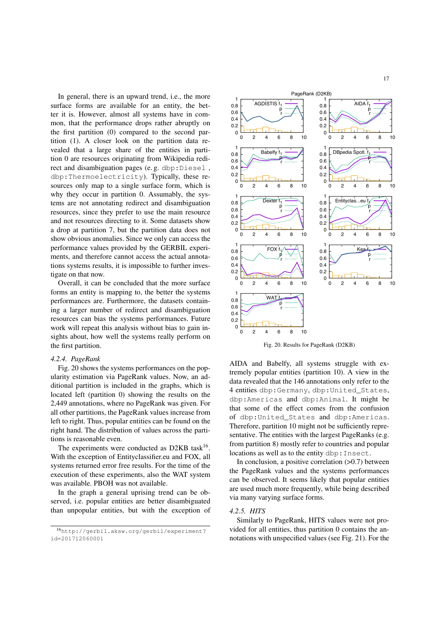In general, there is an upward trend, i.e., the more surface forms are available for an entity, the better it is. However, almost all systems have in common, that the performance drops rather abruptly on the first partition (0) compared to the second partition (1). A closer look on the partition data revealed that a large share of the entities in partition 0 are resources originating from Wikipedia redirect and disambiguation pages (e.g. dbp: Diesel, dbp:Thermoelectricity). Typically, these resources only map to a single surface form, which is why they occur in partition 0. Assumably, the systems are not annotating redirect and disambiguation resources, since they prefer to use the main resource and not resources directing to it. Some datasets show a drop at partition 7, but the partition data does not show obvious anomalies. Since we only can access the performance values provided by the GERBIL experiments, and therefore cannot access the actual annotations systems results, it is impossible to further investigate on that now.

Overall, it can be concluded that the more surface forms an entity is mapping to, the better the systems performances are. Furthermore, the datasets containing a larger number of redirect and disambiguation resources can bias the systems performances. Future work will repeat this analysis without bias to gain insights about, how well the systems really perform on the first partition.

## 4.2.4. PageRank

Fig. 20 shows the systems performances on the popularity estimation via PageRank values. Now, an additional partition is included in the graphs, which is located left (partition 0) showing the results on the 2,449 annotations, where no PageRank was given. For all other partitions, the PageRank values increase from left to right. Thus, popular entities can be found on the right hand. The distribution of values across the partitions is reasonable even.

The experiments were conducted as D2KB task<sup>16</sup>. With the exception of Entityclassifier.eu and FOX, all systems returned error free results. For the time of the execution of these experiments, also the WAT system was available. PBOH was not available.

In the graph a general uprising trend can be observed, i.e. popular entities are better disambiguated than unpopular entities, but with the exception of



Fig. 20. Results for PageRank (D2KB)

AIDA and Babelfy, all systems struggle with extremely popular entities (partition 10). A view in the data revealed that the 146 annotations only refer to the 4 entities dbp: Germany, dbp: United\_States, dbp:Americas and dbp:Animal. It might be that some of the effect comes from the confusion of dbp: United\_States and dbp: Americas. Therefore, partition 10 might not be sufficiently representative. The entities with the largest PageRanks (e.g. from partition 8) mostly refer to countries and popular locations as well as to the entity dbp: Insect.

In conclusion, a positive correlation  $(>0.7)$  between the PageRank values and the systems performances can be observed. It seems likely that popular entities are used much more frequently, while being described via many varying surface forms.

#### 4.2.5. HITS

Similarly to PageRank, HITS values were not provided for all entities, thus partition 0 contains the annotations with unspecified values (see Fig. 21). For the

 $^{16}$ http://gerbil.aksw.org/gerbil/experiment? id=201712060001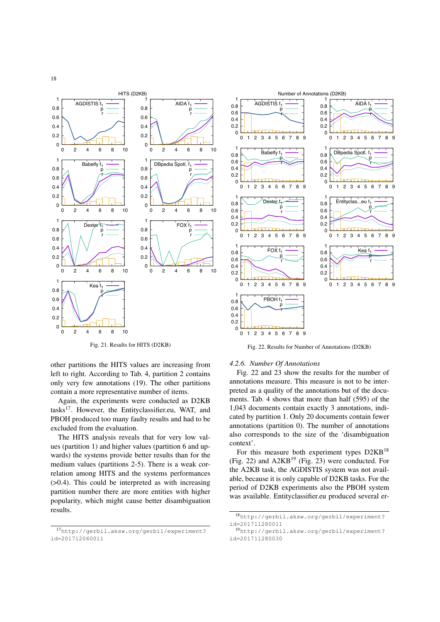

Fig. 21. Results for HITS (D2KB)

other partitions the HITS values are increasing from left to right. According to Tab. 4, partition 2 contains only very few annotations (19). The other partitions contain a more representative number of items.

Again, the experiments were conducted as D2KB tasks<sup>17</sup>. However, the Entityclassifier.eu, WAT, and PBOH produced too many faulty results and had to be excluded from the evaluation.

The HITS analysis reveals that for very low values (partition 1) and higher values (partition 6 and upwards) the systems provide better results than for the medium values (partitions 2-5). There is a weak correlation among HITS and the systems performances  $(>0.4)$ . This could be interpreted as with increasing partition number there are more entities with higher popularity, which might cause better disambiguation results.



Number of Annotations (D2KB)

 $\mathbf{R}$ 

 $\mathbf{C}$ 

 $0.8$ 

 $0<sub>6</sub>$ 

 $0<sub>4</sub>$ 

 $0.2$ 

 $0.8$ 

 $\mathbf{0}$ 

 $\Omega$  $\overline{1}$   $\overline{2}$ 

DBpedia Spotl. f

AIDA1

3 4 5 6

 $\overline{7}$ 

 $\mathsf{R}$ q

**AGDISTIS** 

2 3 4 5 6 7

**Babelfy** f

 $0.8$ 

 $0<sub>6</sub>$ 

 $0<sub>4</sub>$ 

 $0.2$ 

 $0.8$ 

 $\mathfrak{c}$ 

 $\Omega$  $\overline{1}$ 

 $\mathbf 0$  $\overline{1}$  $\mathbf 2$ 

Fig. 22. Results for Number of Annotations (D2KB)

89

#### 4.2.6. Number Of Annotations

3 4 5 6 7

Fig. 22 and 23 show the results for the number of annotations measure. This measure is not to be interpreted as a quality of the annotations but of the documents. Tab. 4 shows that more than half (595) of the 1,043 documents contain exactly 3 annotations, indicated by partition 1. Only 20 documents contain fewer annotations (partition 0). The number of annotations also corresponds to the size of the 'disambiguation context'.

For this measure both experiment types  $D2KB^{18}$ (Fig. 22) and  $A2KB^{19}$  (Fig. 23) were conducted. For the A2KB task, the AGDISTIS system was not available, because it is only capable of D2KB tasks. For the period of D2KB experiments also the PBOH system was available. Entityclassifier.eu produced several er-

 $17$ http://qerbil.aksw.org/gerbil/experiment? id=201712060011

<sup>&</sup>lt;sup>18</sup>http://gerbil.aksw.org/gerbil/experiment? id=201711280011

<sup>&</sup>lt;sup>19</sup>http://gerbil.aksw.org/gerbil/experiment? id=201711280030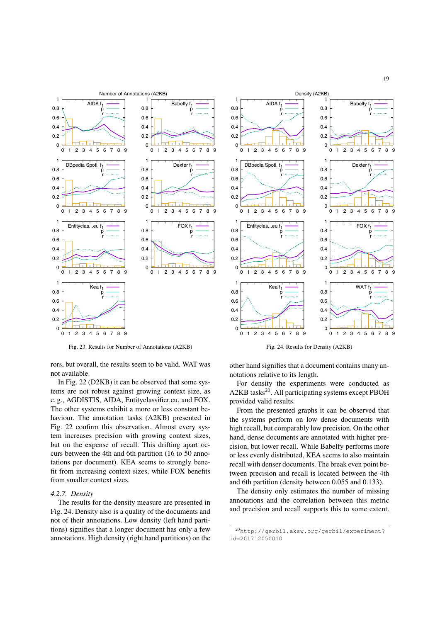

Fig. 23. Results for Number of Annotations (A2KB)

rors, but overall, the results seem to be valid. WAT was not available.

In Fig. 22 (D2KB) it can be observed that some systems are not robust against growing context size, as e.g., AGDISTIS, AIDA, Entityclassifier.eu, and FOX. The other systems exhibit a more or less constant behaviour. The annotation tasks (A2KB) presented in Fig. 22 confirm this observation. Almost every system increases precision with growing context sizes, but on the expense of recall. This drifting apart occurs between the 4th and 6th partition (16 to 50 annotations per document). KEA seems to strongly benefit from increasing context sizes, while FOX benefits from smaller context sizes.

#### 4.2.7. Density

The results for the density measure are presented in Fig. 24. Density also is a quality of the documents and not of their annotations. Low density (left hand partitions) signifies that a longer document has only a few annotations. High density (right hand partitions) on the



Fig. 24. Results for Density (A2KB)

other hand signifies that a document contains many annotations relative to its length.

For density the experiments were conducted as A2KB tasks<sup>20</sup>. All participating systems except PBOH provided valid results.

From the presented graphs it can be observed that the systems perform on low dense documents with high recall, but comparably low precision. On the other hand, dense documents are annotated with higher precision, but lower recall. While Babelfy performs more or less evenly distributed, KEA seems to also maintain recall with denser documents. The break even point between precision and recall is located between the 4th and 6th partition (density between 0.055 and 0.133).

The density only estimates the number of missing annotations and the correlation between this metric and precision and recall supports this to some extent.

 $20$ http://gerbil.aksw.org/gerbil/experiment? id=201712050010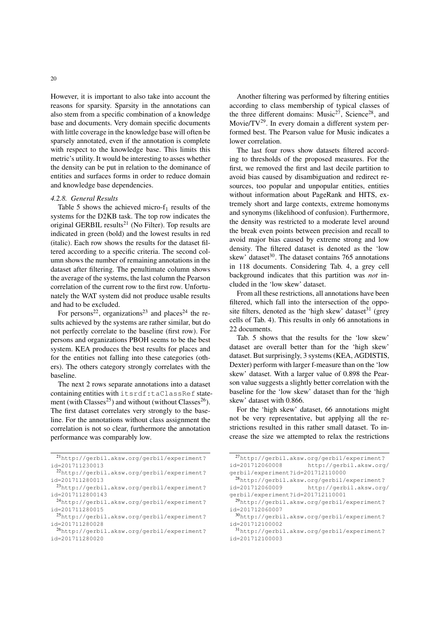However, it is important to also take into account the reasons for sparsity. Sparsity in the annotations can also stem from a specific combination of a knowledge base and documents. Very domain specific documents with little coverage in the knowledge base will often be sparsely annotated, even if the annotation is complete with respect to the knowledge base. This limits this metric's utility. It would be interesting to asses whether the density can be put in relation to the dominance of entities and surfaces forms in order to reduce domain and knowledge base dependencies.

#### *4.2.8. General Results*

Table 5 shows the achieved micro- $f_1$  results of the systems for the D2KB task. The top row indicates the original GERBIL results<sup>21</sup> (No Filter). Top results are indicated in green (bold) and the lowest results in red (italic). Each row shows the results for the dataset filtered according to a specific criteria. The second column shows the number of remaining annotations in the dataset after filtering. The penultimate column shows the average of the systems, the last column the Pearson correlation of the current row to the first row. Unfortunately the WAT system did not produce usable results and had to be excluded.

For persons<sup>22</sup>, organizations<sup>23</sup> and places<sup>24</sup> the results achieved by the systems are rather similar, but do not perfectly correlate to the baseline (first row). For persons and organizations PBOH seems to be the best system. KEA produces the best results for places and for the entities not falling into these categories (others). The others category strongly correlates with the baseline.

The next 2 rows separate annotations into a dataset containing entities with itsrdf:taClassRef statement (with Classes<sup>25</sup>) and without (without Classes<sup>26</sup>). The first dataset correlates very strongly to the baseline. For the annotations without class assignment the correlation is not so clear, furthermore the annotation performance was comparably low.

<sup>21</sup>http://gerbil.aksw.org/gerbil/experiment? id=201711230013

Another filtering was performed by filtering entities according to class membership of typical classes of the three different domains:  $Music<sup>27</sup>$ , Science<sup>28</sup>, and Movie/TV29. In every domain a different system performed best. The Pearson value for Music indicates a lower correlation.

The last four rows show datasets filtered according to thresholds of the proposed measures. For the first, we removed the first and last decile partition to avoid bias caused by disambiguation and redirect resources, too popular and unpopular entities, entities without information about PageRank and HITS, extremely short and large contexts, extreme homonyms and synonyms (likelihood of confusion). Furthermore, the density was restricted to a moderate level around the break even points between precision and recall to avoid major bias caused by extreme strong and low density. The filtered dataset is denoted as the 'low skew' dataset $30$ . The dataset contains 765 annotations in 118 documents. Considering Tab. 4, a grey cell background indicates that this partition was *not* included in the 'low skew' dataset.

From all these restrictions, all annotations have been filtered, which fall into the intersection of the opposite filters, denoted as the 'high skew' dataset $31$  (grey cells of Tab. 4). This results in only 66 annotations in 22 documents.

Tab. 5 shows that the results for the 'low skew' dataset are overall better than for the 'high skew' dataset. But surprisingly, 3 systems (KEA, AGDISTIS, Dexter) perform with larger f-measure than on the 'low skew' dataset. With a larger value of 0.898 the Pearson value suggests a slightly better correlation with the baseline for the 'low skew' dataset than for the 'high skew' dataset with 0.866.

For the 'high skew' dataset, 66 annotations might not be very representative, but applying all the restrictions resulted in this rather small dataset. To increase the size we attempted to relax the restrictions

<sup>22</sup>http://gerbil.aksw.org/gerbil/experiment? id=201711280013

<sup>23</sup>http://gerbil.aksw.org/gerbil/experiment? id=2017112800143

<sup>24</sup>http://gerbil.aksw.org/gerbil/experiment? id=201711280015

<sup>25</sup>http://gerbil.aksw.org/gerbil/experiment? id=201711280028

<sup>26</sup>http://gerbil.aksw.org/gerbil/experiment? id=201711280020

<sup>27</sup>http://gerbil.aksw.org/gerbil/experiment? id=201712060008 http://gerbil.aksw.org/ gerbil/experiment?id=201712110000 <sup>28</sup>http://gerbil.aksw.org/gerbil/experiment?

id=201712060009 http://gerbil.aksw.org/ gerbil/experiment?id=201712110001

<sup>29</sup>http://gerbil.aksw.org/gerbil/experiment? id=201712060007

<sup>30</sup>http://gerbil.aksw.org/gerbil/experiment? id=201712100002

<sup>31</sup>http://gerbil.aksw.org/gerbil/experiment? id=201712100003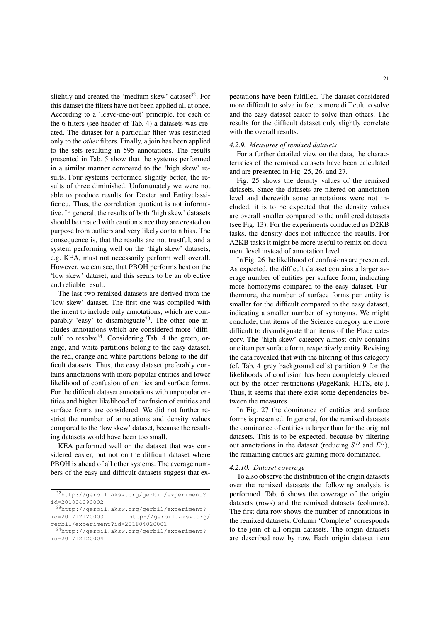slightly and created the 'medium skew' dataset $32$ . For this dataset the filters have not been applied all at once. According to a 'leave-one-out' principle, for each of the 6 filters (see header of Tab. 4) a datasets was created. The dataset for a particular filter was restricted only to the *other* filters. Finally, a join has been applied to the sets resulting in 595 annotations. The results presented in Tab. 5 show that the systems performed in a similar manner compared to the 'high skew' results. Four systems performed slightly better, the results of three diminished. Unfortunately we were not able to produce results for Dexter and Entityclassifier.eu. Thus, the correlation quotient is not informative. In general, the results of both 'high skew' datasets should be treated with caution since they are created on purpose from outliers and very likely contain bias. The consequence is, that the results are not trustful, and a system performing well on the 'high skew' datasets, e.g. KEA, must not necessarily perform well overall. However, we can see, that PBOH performs best on the 'low skew' dataset, and this seems to be an objective and reliable result.

The last two remixed datasets are derived from the 'low skew' dataset. The first one was compiled with the intent to include only annotations, which are comparably 'easy' to disambiguate<sup>33</sup>. The other one includes annotations which are considered more 'difficult' to resolve $34$ . Considering Tab. 4 the green, orange, and white partitions belong to the easy dataset, the red, orange and white partitions belong to the difficult datasets. Thus, the easy dataset preferably contains annotations with more popular entities and lower likelihood of confusion of entities and surface forms. For the difficult dataset annotations with unpopular entities and higher likelihood of confusion of entities and surface forms are considered. We did not further restrict the number of annotations and density values compared to the 'low skew' dataset, because the resulting datasets would have been too small.

KEA performed well on the dataset that was considered easier, but not on the difficult dataset where PBOH is ahead of all other systems. The average numbers of the easy and difficult datasets suggest that expectations have been fulfilled. The dataset considered more difficult to solve in fact is more difficult to solve and the easy dataset easier to solve than others. The results for the difficult dataset only slightly correlate with the overall results.

## *4.2.9. Measures of remixed datasets*

For a further detailed view on the data, the characteristics of the remixed datasets have been calculated and are presented in Fig. 25, 26, and 27.

Fig. 25 shows the density values of the remixed datasets. Since the datasets are filtered on annotation level and therewith some annotations were not included, it is to be expected that the density values are overall smaller compared to the unfiltered datasets (see Fig. 13). For the experiments conducted as D2KB tasks, the density does not influence the results. For A2KB tasks it might be more useful to remix on document level instead of annotation level.

In Fig. 26 the likelihood of confusions are presented. As expected, the difficult dataset contains a larger average number of entities per surface form, indicating more homonyms compared to the easy dataset. Furthermore, the number of surface forms per entity is smaller for the difficult compared to the easy dataset, indicating a smaller number of synonyms. We might conclude, that items of the Science category are more difficult to disambiguate than items of the Place category. The 'high skew' category almost only contains one item per surface form, respectively entity. Revising the data revealed that with the filtering of this category (cf. Tab. 4 grey background cells) partition 9 for the likelihoods of confusion has been completely cleared out by the other restrictions (PageRank, HITS, etc.). Thus, it seems that there exist some dependencies between the measures.

In Fig. 27 the dominance of entities and surface forms is presented. In general, for the remixed datasets the dominance of entities is larger than for the original datasets. This is to be expected, because by filtering out annotations in the dataset (reducing  $S^D$  and  $E^D$ ), the remaining entities are gaining more dominance.

#### *4.2.10. Dataset coverage*

To also observe the distribution of the origin datasets over the remixed datasets the following analysis is performed. Tab. 6 shows the coverage of the origin datasets (rows) and the remixed datasets (columns). The first data row shows the number of annotations in the remixed datasets. Column 'Complete' corresponds to the join of all origin datasets. The origin datasets are described row by row. Each origin dataset item

<sup>32</sup>http://gerbil.aksw.org/gerbil/experiment? id=201804090002

<sup>33</sup>http://gerbil.aksw.org/gerbil/experiment? id=201712120003 http://gerbil.aksw.org/ gerbil/experiment?id=201804020001

<sup>34</sup>http://gerbil.aksw.org/gerbil/experiment? id=201712120004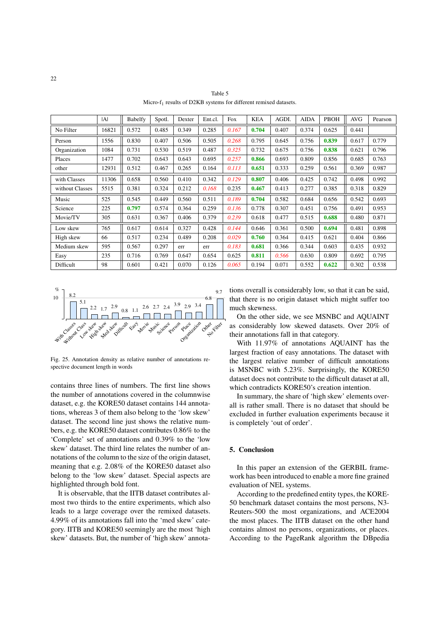|                 | ΙAΙ   | Babelfy | Spotl. | Dexter | Ent.cl. | <b>Fox</b> | KEA   | AGDI. | <b>AIDA</b> | <b>PBOH</b> | <b>AVG</b> | Pearson |
|-----------------|-------|---------|--------|--------|---------|------------|-------|-------|-------------|-------------|------------|---------|
| No Filter       | 16821 | 0.572   | 0.485  | 0.349  | 0.285   | 0.167      | 0.704 | 0.407 | 0.374       | 0.625       | 0.441      |         |
| Person          | 1556  | 0.830   | 0.407  | 0.506  | 0.505   | 0.268      | 0.795 | 0.645 | 0.756       | 0.839       | 0.617      | 0.779   |
| Organization    | 1084  | 0.731   | 0.530  | 0.519  | 0.487   | 0.325      | 0.732 | 0.675 | 0.756       | 0.838       | 0.621      | 0.796   |
| Places          | 1477  | 0.702   | 0.643  | 0.643  | 0.695   | 0.257      | 0.866 | 0.693 | 0.809       | 0.856       | 0.685      | 0.763   |
| other           | 12931 | 0.512   | 0.467  | 0.265  | 0.164   | 0.113      | 0.651 | 0.333 | 0.259       | 0.561       | 0.369      | 0.987   |
| with Classes    | 11306 | 0.658   | 0.560  | 0.410  | 0.342   | 0.129      | 0.807 | 0.406 | 0.425       | 0.742       | 0.498      | 0.992   |
| without Classes | 5515  | 0.381   | 0.324  | 0.212  | 0.168   | 0.235      | 0.467 | 0.413 | 0.277       | 0.385       | 0.318      | 0.829   |
| Music           | 525   | 0.545   | 0.449  | 0.560  | 0.511   | 0.189      | 0.704 | 0.582 | 0.684       | 0.656       | 0.542      | 0.693   |
| Science         | 225   | 0.797   | 0.574  | 0.364  | 0.259   | 0.136      | 0.778 | 0.307 | 0.451       | 0.756       | 0.491      | 0.953   |
| Movie/TV        | 305   | 0.631   | 0.367  | 0.406  | 0.379   | 0.239      | 0.618 | 0.477 | 0.515       | 0.688       | 0.480      | 0.871   |
| Low skew        | 765   | 0.617   | 0.614  | 0.327  | 0.428   | 0.144      | 0.646 | 0.361 | 0.500       | 0.694       | 0.481      | 0.898   |
| High skew       | 66    | 0.517   | 0.234  | 0.489  | 0.208   | 0.029      | 0.760 | 0.364 | 0.415       | 0.621       | 0.404      | 0.866   |
| Medium skew     | 595   | 0.567   | 0.297  | err    | err     | 0.183      | 0.681 | 0.366 | 0.344       | 0.603       | 0.435      | 0.932   |
| Easy            | 235   | 0.716   | 0.769  | 0.647  | 0.654   | 0.625      | 0.811 | 0.566 | 0.630       | 0.809       | 0.692      | 0.795   |
| Difficult       | 98    | 0.601   | 0.421  | 0.070  | 0.126   | 0.065      | 0.194 | 0.071 | 0.552       | 0.622       | 0.302      | 0.538   |

Table 5 Micro-f<sub>1</sub> results of D2KB systems for different remixed datasets.



Fig. 25. Annotation density as relative number of annotations respective document length in words

contains three lines of numbers. The first line shows the number of annotations covered in the columnwise dataset, e.g. the KORE50 dataset contains 144 annotations, whereas 3 of them also belong to the 'low skew' dataset. The second line just shows the relative numbers, e.g. the KORE50 dataset contributes 0.86% to the 'Complete' set of annotations and 0.39% to the 'low skew' dataset. The third line relates the number of annotations of the column to the size of the origin dataset, meaning that e.g. 2.08% of the KORE50 dataset also belong to the 'low skew' dataset. Special aspects are highlighted through bold font.

It is observable, that the IITB dataset contributes almost two thirds to the entire experiments, which also leads to a large coverage over the remixed datasets. 4.99% of its annotations fall into the 'med skew' category. IITB and KORE50 seemingly are the most 'high skew' datasets. But, the number of 'high skew' annotations overall is considerably low, so that it can be said, that there is no origin dataset which might suffer too much skewness.

On the other side, we see MSNBC and AQUAINT as considerably low skewed datasets. Over 20% of their annotations fall in that category.

With 11.97% of annotations AQUAINT has the largest fraction of easy annotations. The dataset with the largest relative number of difficult annotations is MSNBC with 5.23%. Surprisingly, the KORE50 dataset does not contribute to the difficult dataset at all, which contradicts KORE50's creation intention.

In summary, the share of 'high skew' elements overall is rather small. There is no dataset that should be excluded in further evaluation experiments because it is completely 'out of order'.

## 5. Conclusion

In this paper an extension of the GERBIL framework has been introduced to enable a more fine grained evaluation of NEL systems.

According to the predefined entity types, the KORE-50 benchmark dataset contains the most persons, N3- Reuters-500 the most organizations, and ACE2004 the most places. The IITB dataset on the other hand contains almost no persons, organizations, or places. According to the PageRank algorithm the DBpedia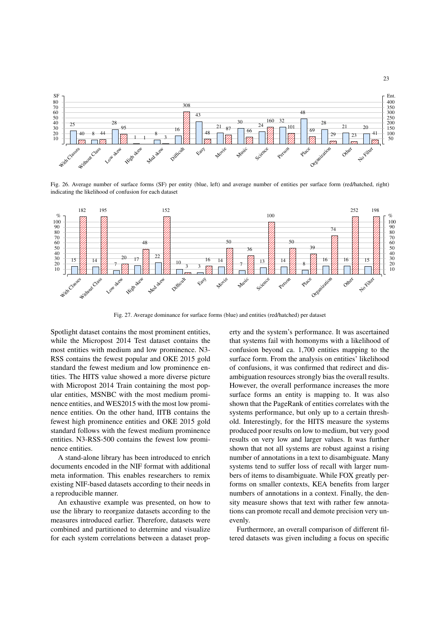

Fig. 26. Average number of surface forms (SF) per entity (blue, left) and average number of entities per surface form (red/hatched, right) indicating the likelihood of confusion for each dataset



Fig. 27. Average dominance for surface forms (blue) and entities (red/hatched) per dataset

Spotlight dataset contains the most prominent entities, while the Micropost 2014 Test dataset contains the most entities with medium and low prominence. N3- RSS contains the fewest popular and OKE 2015 gold standard the fewest medium and low prominence entities. The HITS value showed a more diverse picture with Micropost 2014 Train containing the most popular entities, MSNBC with the most medium prominence entities, and WES2015 with the most low prominence entities. On the other hand, IITB contains the fewest high prominence entities and OKE 2015 gold standard follows with the fewest medium prominence entities. N3-RSS-500 contains the fewest low prominence entities.

A stand-alone library has been introduced to enrich documents encoded in the NIF format with additional meta information. This enables researchers to remix existing NIF-based datasets according to their needs in a reproducible manner.

An exhaustive example was presented, on how to use the library to reorganize datasets according to the measures introduced earlier. Therefore, datasets were combined and partitioned to determine and visualize for each system correlations between a dataset property and the system's performance. It was ascertained that systems fail with homonyms with a likelihood of confusion beyond ca. 1,700 entities mapping to the surface form. From the analysis on entities' likelihood of confusions, it was confirmed that redirect and disambiguation resources strongly bias the overall results. However, the overall performance increases the more surface forms an entity is mapping to. It was also shown that the PageRank of entities correlates with the systems performance, but only up to a certain threshold. Interestingly, for the HITS measure the systems produced poor results on low to medium, but very good results on very low and larger values. It was further shown that not all systems are robust against a rising number of annotations in a text to disambiguate. Many systems tend to suffer loss of recall with larger numbers of items to disambiguate. While FOX greatly performs on smaller contexts, KEA benefits from larger numbers of annotations in a context. Finally, the density measure shows that text with rather few annotations can promote recall and demote precision very unevenly.

Furthermore, an overall comparison of different filtered datasets was given including a focus on specific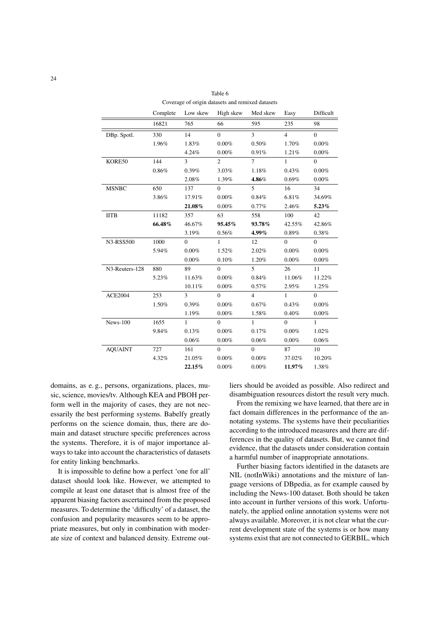|                  | Complete | Low skew     | High skew    | Med skew       | Easy           | Difficult      |
|------------------|----------|--------------|--------------|----------------|----------------|----------------|
|                  | 16821    | 765          | 66           | 595            | 235            | 98             |
| DBp. Spotl.      | 330      | 14           | $\mathbf{0}$ | 3              | $\overline{4}$ | $\mathbf{0}$   |
|                  | 1.96%    | 1.83%        | 0.00%        | 0.50%          | 1.70%          | 0.00%          |
|                  |          | 4.24%        | 0.00%        | 0.91%          | 1.21%          | 0.00%          |
| KORE50           | 144      | 3            | 2            | $\tau$         | $\mathbf{1}$   | $\Omega$       |
|                  | 0.86%    | 0.39%        | 3.03%        | 1.18%          | 0.43%          | 0.00%          |
|                  |          | 2.08%        | 1.39%        | 4.86%          | 0.69%          | 0.00%          |
| <b>MSNBC</b>     | 650      | 137          | $\theta$     | 5              | 16             | 34             |
|                  | 3.86%    | 17.91%       | 0.00%        | 0.84%          | 6.81%          | 34.69%         |
|                  |          | 21.08%       | 0.00%        | 0.77%          | 2.46%          | 5.23%          |
| <b>IITB</b>      | 11182    | 357          | 63           | 558            | 100            | 42             |
|                  | 66.48%   | 46.67%       | 95.45%       | 93.78%         | 42.55%         | 42.86%         |
|                  |          | 3.19%        | 0.56%        | $4.99\%$       | 0.89%          | 0.38%          |
| <b>N3-RSS500</b> | 1000     | $\mathbf{0}$ | $\mathbf{1}$ | 12             | $\mathbf{0}$   | $\overline{0}$ |
|                  | 5.94%    | $0.00\%$     | 1.52%        | 2.02%          | $0.00\%$       | $0.00\%$       |
|                  |          | $0.00\%$     | 0.10%        | 1.20%          | $0.00\%$       | 0.00%          |
| N3-Reuters-128   | 880      | 89           | $\mathbf{0}$ | 5              | 26             | 11             |
|                  | 5.23%    | 11.63%       | 0.00%        | 0.84%          | 11.06%         | 11.22%         |
|                  |          | 10.11%       | 0.00%        | 0.57%          | 2.95%          | 1.25%          |
| <b>ACE2004</b>   | 253      | 3            | $\mathbf{0}$ | $\overline{4}$ | $\mathbf{1}$   | $\overline{0}$ |
|                  | 1.50%    | 0.39%        | 0.00%        | 0.67%          | 0.43%          | 0.00%          |
|                  |          | 1.19%        | 0.00%        | 1.58%          | 0.40%          | 0.00%          |
| $News-100$       | 1655     | $\mathbf{1}$ | $\Omega$     | $\mathbf{1}$   | $\Omega$       | $\mathbf{1}$   |
|                  | 9.84%    | 0.13%        | 0.00%        | 0.17%          | 0.00%          | 1.02%          |
|                  |          | 0.06%        | 0.00%        | 0.06%          | 0.00%          | 0.06%          |
| <b>AQUAINT</b>   | 727      | 161          | $\Omega$     | $\Omega$       | 87             | 10             |
|                  | 4.32%    | 21.05%       | 0.00%        | 0.00%          | 37.02%         | 10.20%         |
|                  |          | 22.15%       | 0.00%        | 0.00%          | 11.97%         | 1.38%          |

| Table 6                                          |  |
|--------------------------------------------------|--|
| Coverage of origin datasets and remixed datasets |  |

domains, as e. g., persons, organizations, places, music, science, movies/tv. Although KEA and PBOH perform well in the majority of cases, they are not necessarily the best performing systems. Babelfy greatly performs on the science domain, thus, there are domain and dataset structure specific preferences across the systems. Therefore, it is of major importance always to take into account the characteristics of datasets for entity linking benchmarks.

It is impossible to define how a perfect 'one for all' dataset should look like. However, we attempted to compile at least one dataset that is almost free of the apparent biasing factors ascertained from the proposed measures. To determine the 'difficulty' of a dataset, the confusion and popularity measures seem to be appropriate measures, but only in combination with moderate size of context and balanced density. Extreme outliers should be avoided as possible. Also redirect and disambiguation resources distort the result very much.

From the remixing we have learned, that there are in fact domain differences in the performance of the annotating systems. The systems have their peculiarities according to the introduced measures and there are differences in the quality of datasets. But, we cannot find evidence, that the datasets under consideration contain a harmful number of inappropriate annotations.

Further biasing factors identified in the datasets are NIL (notInWiki) annotations and the mixture of language versions of DBpedia, as for example caused by including the News-100 dataset. Both should be taken into account in further versions of this work. Unfortunately, the applied online annotation systems were not always available. Moreover, it is not clear what the current development state of the systems is or how many systems exist that are not connected to GERBIL, which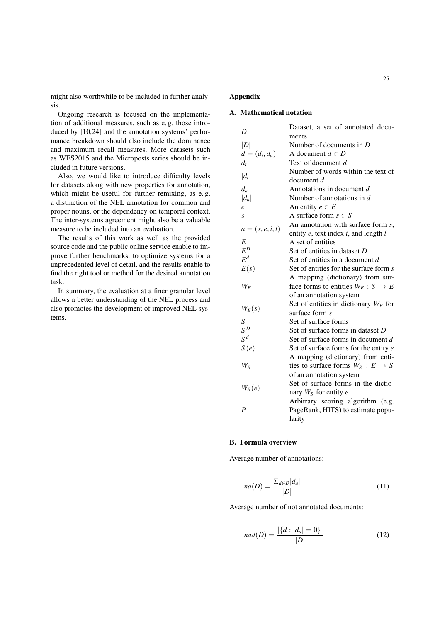might also worthwhile to be included in further analysis.

Ongoing research is focused on the implementation of additional measures, such as e. g. those introduced by [10,24] and the annotation systems' performance breakdown should also include the dominance and maximum recall measures. More datasets such as WES2015 and the Microposts series should be included in future versions.

Also, we would like to introduce difficulty levels for datasets along with new properties for annotation, which might be useful for further remixing, as e. g. a distinction of the NEL annotation for common and proper nouns, or the dependency on temporal context. The inter-systems agreement might also be a valuable measure to be included into an evaluation.

The results of this work as well as the provided source code and the public online service enable to improve further benchmarks, to optimize systems for a unprecedented level of detail, and the results enable to find the right tool or method for the desired annotation task.

In summary, the evaluation at a finer granular level allows a better understanding of the NEL process and also promotes the development of improved NEL systems.

# Appendix

# A. Mathematical notation

| D                | Dataset, a set of annotated docu-            |
|------------------|----------------------------------------------|
|                  | ments                                        |
| D                | Number of documents in D                     |
| $d=(d_t,d_a)$    | A document $d \in D$                         |
| $d_t$            | Text of document d                           |
| $ d_t $          | Number of words within the text of           |
|                  | document d                                   |
| $d_a$            | Annotations in document d                    |
| $ d_a $          | Number of annotations in $d$                 |
| $\ell$           | An entity $e \in E$                          |
| S                | A surface form $s \in S$                     |
| $a=(s,e,i,l)$    | An annotation with surface form s,           |
|                  | entity $e$ , text index $i$ , and length $l$ |
| E                | A set of entities                            |
| $E^D$            | Set of entities in dataset D                 |
| $E^d$            | Set of entities in a document d              |
| E(s)             | Set of entities for the surface form s       |
|                  | A mapping (dictionary) from sur-             |
| $W_F$            | face forms to entities $W_E : S \to E$       |
|                  | of an annotation system                      |
| $W_E(s)$         | Set of entities in dictionary $W_E$ for      |
|                  | surface form s                               |
| S                | Set of surface forms                         |
| $S^D$            | Set of surface forms in dataset D            |
| $S^d$            | Set of surface forms in document d           |
| S(e)             | Set of surface forms for the entity $e$      |
|                  | A mapping (dictionary) from enti-            |
| $W_S$            | ties to surface forms $W_S : E \to S$        |
|                  | of an annotation system                      |
| $W_S(e)$         | Set of surface forms in the dictio-          |
|                  | nary $W_S$ for entity e                      |
|                  | Arbitrary scoring algorithm (e.g.            |
| $\boldsymbol{P}$ | PageRank, HITS) to estimate popu-            |
|                  | larity                                       |

#### B. Formula overview

Average number of annotations:

$$
na(D) = \frac{\sum_{d \in D} |d_a|}{|D|} \tag{11}
$$

Average number of not annotated documents:

$$
nad(D) = \frac{|\{d : |d_a| = 0\}|}{|D|}
$$
 (12)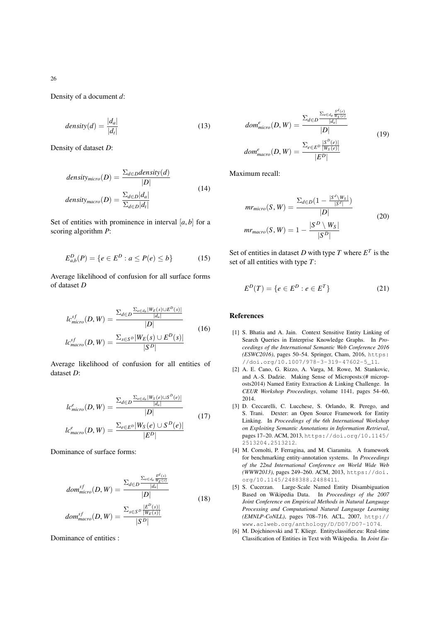Density of a document *d*:

$$
density(d) = \frac{|d_a|}{|d_t|} \tag{13}
$$

Density of dataset *D*:

$$
density_{micro}(D) = \frac{\sum_{d \in D} density(d)}{|D|}
$$
  
\n
$$
density_{macro}(D) = \frac{\sum_{d \in D} |d_a|}{\sum_{d \in D} |d_t|}
$$
\n(14)

Set of entities with prominence in interval  $[a, b]$  for a scoring algorithm *P*:

$$
E_{a,b}^D(P) = \{e \in E^D : a \le P(e) \le b\}
$$
 (15)

Average likelihood of confusion for all surface forms of dataset *D*

$$
lc_{micro}^{sf}(D, W) = \frac{\sum_{d \in D} \frac{\sum_{a \in d_a | W_E(s) \cup E^D(s)|}}{|d_a|}}{|D|}
$$
  

$$
lc_{macro}^{sf}(D, W) = \frac{\sum_{s \in S^D | W_E(s) \cup E^D(s)|}}{|S^D|}
$$
 (16)

Average likelihood of confusion for all entities of dataset *D*:

$$
lc_{micro}^{e}(D, W) = \frac{\sum_{d \in D} \frac{\sum_{a \in d_a} |W_S(e) \cup S^D(e)|}{|d_a|}}{|D|}
$$
  

$$
lc_{macro}^{e}(D, W) = \frac{\sum_{e \in E^D} |W_S(e) \cup S^D(e)|}{|E^D|}
$$
 (17)

Dominance of surface forms:

$$
dom_{micro}^{sf}(D, W) = \frac{\sum_{d \in D} \frac{\sum_{a \in d_a} \frac{E^d(s)}{W_E(s)}}{|d_a|}}{|D|}
$$
  

$$
dom_{macro}^{sf}(D, W) = \frac{\sum_{s \in S^D} \frac{|E^D(s)|}{|W_E(s)|}}{|S^D|}
$$
(18)

Dominance of entities :

$$
dom_{micro}^{e}(D, W) = \frac{\sum_{d \in D} \frac{\sum_{a \in d_a} \frac{S^{d}(e)}{W_S(e)}}{|d_a|}}{|D|}
$$

$$
dom_{macro}^{e}(D, W) = \frac{\sum_{e \in E^D} \frac{|S^D(e)|}{|W_S(e)|}}{|E^D|}
$$
(19)

Maximum recall:

$$
mr_{micro}(S, W) = \frac{\sum_{d \in D} \left(1 - \frac{|S^d \setminus W_S|}{|S^d|}\right)}{|D|}
$$
  

$$
mr_{macro}(S, W) = 1 - \frac{|S^D \setminus W_S|}{|S^D|}
$$
 (20)

Set of entities in dataset *D* with type *T* where  $E^T$  is the set of all entities with type *T*:

$$
E^{D}(T) = \{e \in E^{D} : e \in E^{T}\}\tag{21}
$$

# References

- [1] S. Bhatia and A. Jain. Context Sensitive Entity Linking of Search Queries in Enterprise Knowledge Graphs. In *Proceedings of the International Semantic Web Conference 2016 (ESWC2016)*, pages 50-54. Springer, Cham, 2016, https: //doi.org/10.1007/978-3-319-47602-5\_11.
- [2] A. E. Cano, G. Rizzo, A. Varga, M. Rowe, M. Stankovic, and A.-S. Dadzie. Making Sense of Microposts:(# microposts2014) Named Entity Extraction & Linking Challenge. In *CEUR Workshop Proceedings*, volume 1141, pages 54–60, 2014.
- [3] D. Ceccarelli, C. Lucchese, S. Orlando, R. Perego, and S. Trani. Dexter: an Open Source Framework for Entity Linking. In *Proceedings of the 6th International Workshop on Exploiting Semantic Annotations in Information Retrieval*, pages 17–20. ACM, 2013, https://doi.org/10.1145/ 2513204.2513212.
- [4] M. Cornolti, P. Ferragina, and M. Ciaramita. A framework for benchmarking entity-annotation systems. In *Proceedings of the 22nd International Conference on World Wide Web (WWW2013)*, pages 249–260. ACM, 2013, https://doi. org/10.1145/2488388.2488411.
- [5] S. Cucerzan. Large-Scale Named Entity Disambiguation Based on Wikipedia Data. In *Proceedings of the 2007 Joint Conference on Empirical Methods in Natural Language Processing and Computational Natural Language Learning (EMNLP-CoNLL)*, pages 708–716. ACL, 2007, http:// www.aclweb.org/anthology/D/D07/D07-1074.
- [6] M. Dojchinovski and T. Kliegr. Entityclassifier.eu: Real-time Classification of Entities in Text with Wikipedia. In *Joint Eu-*

26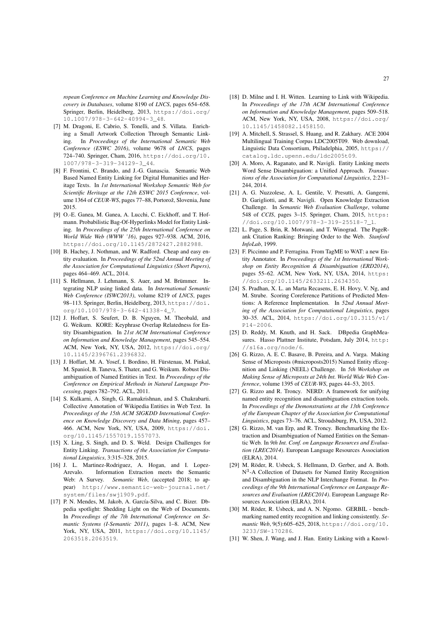*ropean Conference on Machine Learning and Knowledge Discovery in Databases*, volume 8190 of *LNCS*, pages 654–658. Springer, Berlin, Heidelberg, 2013, https://doi.org/ 10.1007/978-3-642-40994-3\_48.

- [7] M. Dragoni, E. Cabrio, S. Tonelli, and S. Villata. Enriching a Small Artwork Collection Through Semantic Linking. In *Proceedings of the International Semantic Web Conference (ESWC 2016)*, volume 9678 of *LNCS*, pages 724–740. Springer, Cham, 2016, https://doi.org/10. 1007/978-3-319-34129-3\_44.
- [8] F. Frontini, C. Brando, and J.-G. Ganascia. Semantic Web Based Named Entity Linking for Digital Humanities and Heritage Texts. In *1st International Workshop Semantic Web for Scientific Heritage at the 12th ESWC 2015 Conference*, volume 1364 of *CEUR-WS*, pages 77–88, Portorož, Slovenia, June 2015.
- [9] O.-E. Ganea, M. Ganea, A. Lucchi, C. Eickhoff, and T. Hofmann. Probabilistic Bag-Of-Hyperlinks Model for Entity Linking. In *Proceedings of the 25th International Conference on World Wide Web (WWW '16)*, pages 927–938. ACM, 2016, https://doi.org/10.1145/2872427.2882988.
- [10] B. Hachey, J. Nothman, and W. Radford. Cheap and easy entity evaluation. In *Proceedings of the 52nd Annual Meeting of the Association for Computational Linguistics (Short Papers)*, pages 464–469. ACL, 2014.
- [11] S. Hellmann, J. Lehmann, S. Auer, and M. Brümmer. Integrating NLP using linked data. In *International Semantic Web Conference (ISWC2013)*, volume 8219 of *LNCS*, pages 98-113. Springer, Berlin, Heidelberg, 2013, https://doi. org/10.1007/978-3-642-41338-4\_7.
- [12] J. Hoffart, S. Seufert, D. B. Nguyen, M. Theobald, and G. Weikum. KORE: Keyphrase Overlap Relatedness for Entity Disambiguation. In *21st ACM International Conference on Information and Knowledge Management*, pages 545–554. ACM, New York, NY, USA, 2012, https://doi.org/ 10.1145/2396761.2396832.
- [13] J. Hoffart, M. A. Yosef, I. Bordino, H. Fürstenau, M. Pinkal, M. Spaniol, B. Taneva, S. Thater, and G. Weikum. Robust Disambiguation of Named Entities in Text. In *Proceedings of the Conference on Empirical Methods in Natural Language Processing*, pages 782–792. ACL, 2011.
- [14] S. Kulkarni, A. Singh, G. Ramakrishnan, and S. Chakrabarti. Collective Annotation of Wikipedia Entities in Web Text. In *Proceedings of the 15th ACM SIGKDD International Conference on Knowledge Discovery and Data Mining*, pages 457– 466. ACM, New York, NY, USA, 2009, https://doi. org/10.1145/1557019.1557073.
- [15] X. Ling, S. Singh, and D. S. Weld. Design Challenges for Entity Linking. *Transactions of the Association for Computational Linguistics*, 3:315–328, 2015.
- [16] J. L. Martinez-Rodriguez, A. Hogan, and I. Lopez-Arevalo. Information Extraction meets the Semantic Web: A Survey. *Semantic Web*, (accepted 2018; to appear) http://www.semantic-web-journal.net/ system/files/swj1909.pdf.
- [17] P. N. Mendes, M. Jakob, A. García-Silva, and C. Bizer. Dbpedia spotlight: Shedding Light on the Web of Documents. In *Proceedings of the 7th International Conference on Semantic Systems (I-Semantic 2011)*, pages 1–8. ACM, New York, NY, USA, 2011, https://doi.org/10.1145/ 2063518.2063519.
- [18] D. Milne and I. H. Witten. Learning to Link with Wikipedia. In *Proceedings of the 17th ACM International Conference on Information and Knowledge Management*, pages 509–518. ACM, New York, NY, USA, 2008, https://doi.org/ 10.1145/1458082.1458150.
- [19] A. Mitchell, S. Strassel, S. Huang, and R. Zakhary. ACE 2004 Multilingual Training Corpus LDC2005T09. Web download, Linguistic Data Consortium, Philadelphia, 2005, https:// catalog.ldc.upenn.edu/ldc2005t09.
- [20] A. Moro, A. Raganato, and R. Navigli. Entity Linking meets Word Sense Disambiguation: a Unified Approach. *Transactions of the Association for Computational Linguistics*, 2:231– 244, 2014.
- [21] A. G. Nuzzolese, A. L. Gentile, V. Presutti, A. Gangemi, D. Garigliotti, and R. Navigli. Open Knowledge Extraction Challenge. In *Semantic Web Evaluation Challenge*, volume 548 of *CCIS*, pages 3–15. Springer, Cham, 2015, https: //doi.org/10.1007/978-3-319-25518-7\_1.
- [22] L. Page, S. Brin, R. Motwani, and T. Winograd. The PageRank Citation Ranking: Bringing Order to the Web. *Stanford InfoLab*, 1999.
- [23] F. Piccinno and P. Ferragina. From TagME to WAT: a new Entity Annotator. In *Proceedings of the 1st International Workshop on Entity Recognition & Disambiguation (ERD2014)*, pages 55–62. ACM, New York, NY, USA, 2014, https: //doi.org/10.1145/2633211.2634350.
- [24] S. Pradhan, X. L. an Marta Recasens, E. H. Hovy, V. Ng, and M. Strube. Scoring Coreference Partitions of Predicted Mentions: A Reference Implementation. In *52nd Annual Meeting of the Association for Computational Linguistics*, pages 30–35. ACL, 2014, https://doi.org/10.3115/v1/ P14-2006.
- [25] D. Reddy, M. Knuth, and H. Sack. DBpedia GraphMeasures. Hasso Plattner Institute, Potsdam, July 2014, http: //s16a.org/node/6.
- [26] G. Rizzo, A. E. C. Basave, B. Pereira, and A. Varga. Making Sense of Microposts (#microposts2015) Named Entity rEcognition and Linking (NEEL) Challenge. In *5th Workshop on Making Sense of Microposts at 24th Int. World Wide Web Conference*, volume 1395 of *CEUR-WS*, pages 44–53, 2015.
- [27] G. Rizzo and R. Troncy. NERD: A framework for unifying named entity recognition and disambiguation extraction tools. In *Proceedings of the Demonstrations at the 13th Conference of the European Chapter of the Association for Computational Linguistics*, pages 73–76. ACL, Stroudsburg, PA, USA, 2012.
- [28] G. Rizzo, M. van Erp, and R. Troncy. Benchmarking the Extraction and Disambiguation of Named Entities on the Semantic Web. In *9th Int. Conf. on Language Resources and Evaluation (LREC2014)*. European Language Resources Association (ELRA), 2014.
- [29] M. Röder, R. Usbeck, S. Hellmann, D. Gerber, and A. Both. N<sup>3</sup>-A Collection of Datasets for Named Entity Recognition and Disambiguation in the NLP Interchange Format. In *Proceedings of the 9th International Conference on Language Resources and Evaluation (LREC2014)*. European Language Resources Association (ELRA), 2014.
- [30] M. Röder, R. Usbeck, and A. N. Ngomo. GERBIL benchmarking named entity recognition and linking consistently. *Semantic Web*, 9(5):605–625, 2018, https://doi.org/10. 3233/SW-170286.
- [31] W. Shen, J. Wang, and J. Han. Entity Linking with a Knowl-